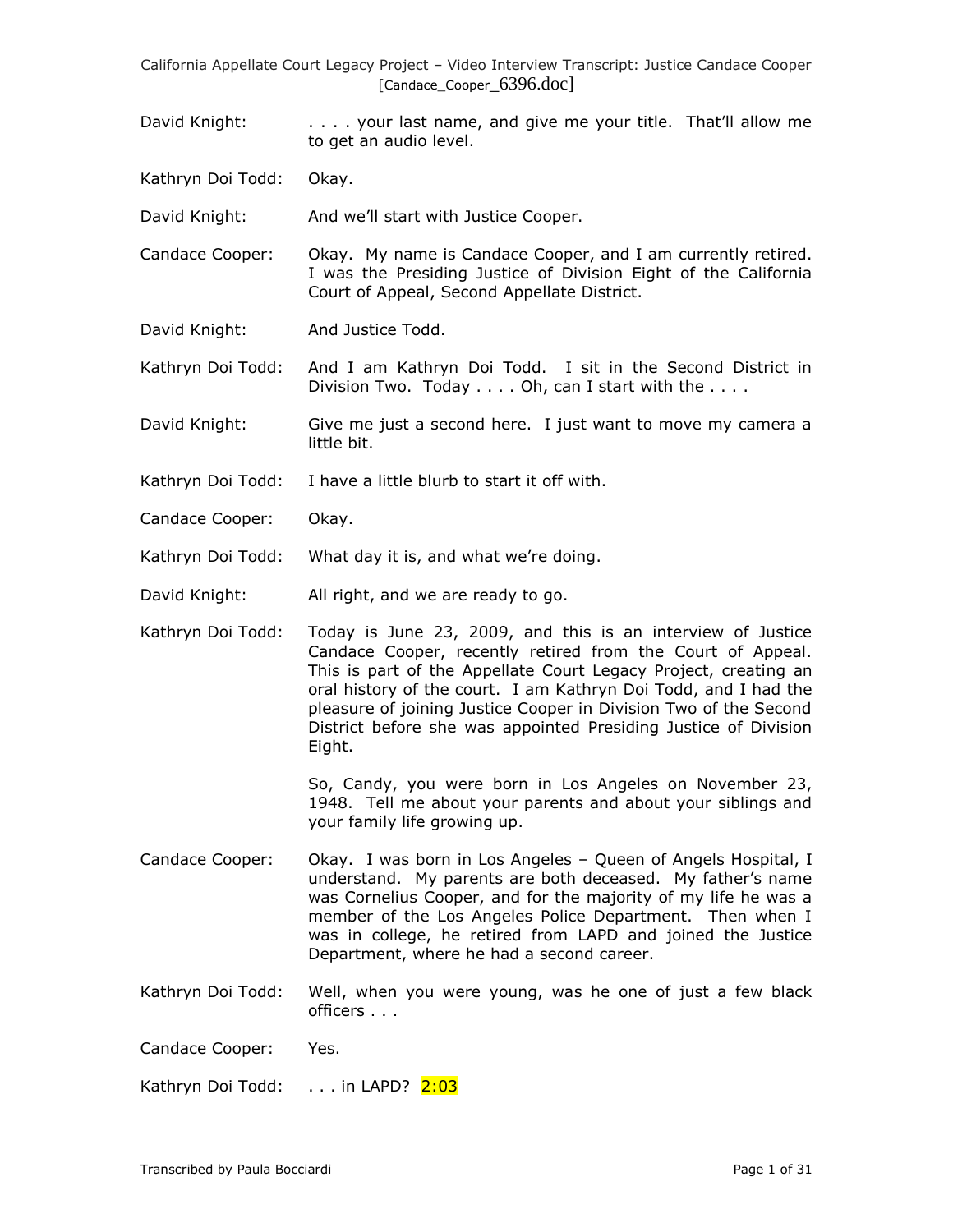David Knight: . . . . . your last name, and give me your title. That'll allow me to get an audio level.

Kathryn Doi Todd: Okay.

David Knight: And we'll start with Justice Cooper.

Candace Cooper: Okay. My name is Candace Cooper, and I am currently retired. I was the Presiding Justice of Division Eight of the California Court of Appeal, Second Appellate District.

David Knight: And Justice Todd.

Kathryn Doi Todd: And I am Kathryn Doi Todd. I sit in the Second District in Division Two. Today . . . . Oh, can I start with the . . . .

David Knight: Give me just a second here. I just want to move my camera a little bit.

- Kathryn Doi Todd: I have a little blurb to start it off with.
- Candace Cooper: Okay.

Kathryn Doi Todd: What day it is, and what we're doing.

David Knight: All right, and we are ready to go.

Kathryn Doi Todd: Today is June 23, 2009, and this is an interview of Justice Candace Cooper, recently retired from the Court of Appeal. This is part of the Appellate Court Legacy Project, creating an oral history of the court. I am Kathryn Doi Todd, and I had the pleasure of joining Justice Cooper in Division Two of the Second District before she was appointed Presiding Justice of Division Eight.

> So, Candy, you were born in Los Angeles on November 23, 1948. Tell me about your parents and about your siblings and your family life growing up.

- Candace Cooper: Okay. I was born in Los Angeles Queen of Angels Hospital, I understand. My parents are both deceased. My father's name was Cornelius Cooper, and for the majority of my life he was a member of the Los Angeles Police Department. Then when I was in college, he retired from LAPD and joined the Justice Department, where he had a second career.
- Kathryn Doi Todd: Well, when you were young, was he one of just a few black officers . . .

Candace Cooper: Yes.

Kathryn Doi Todd: . . . in LAPD? 2:03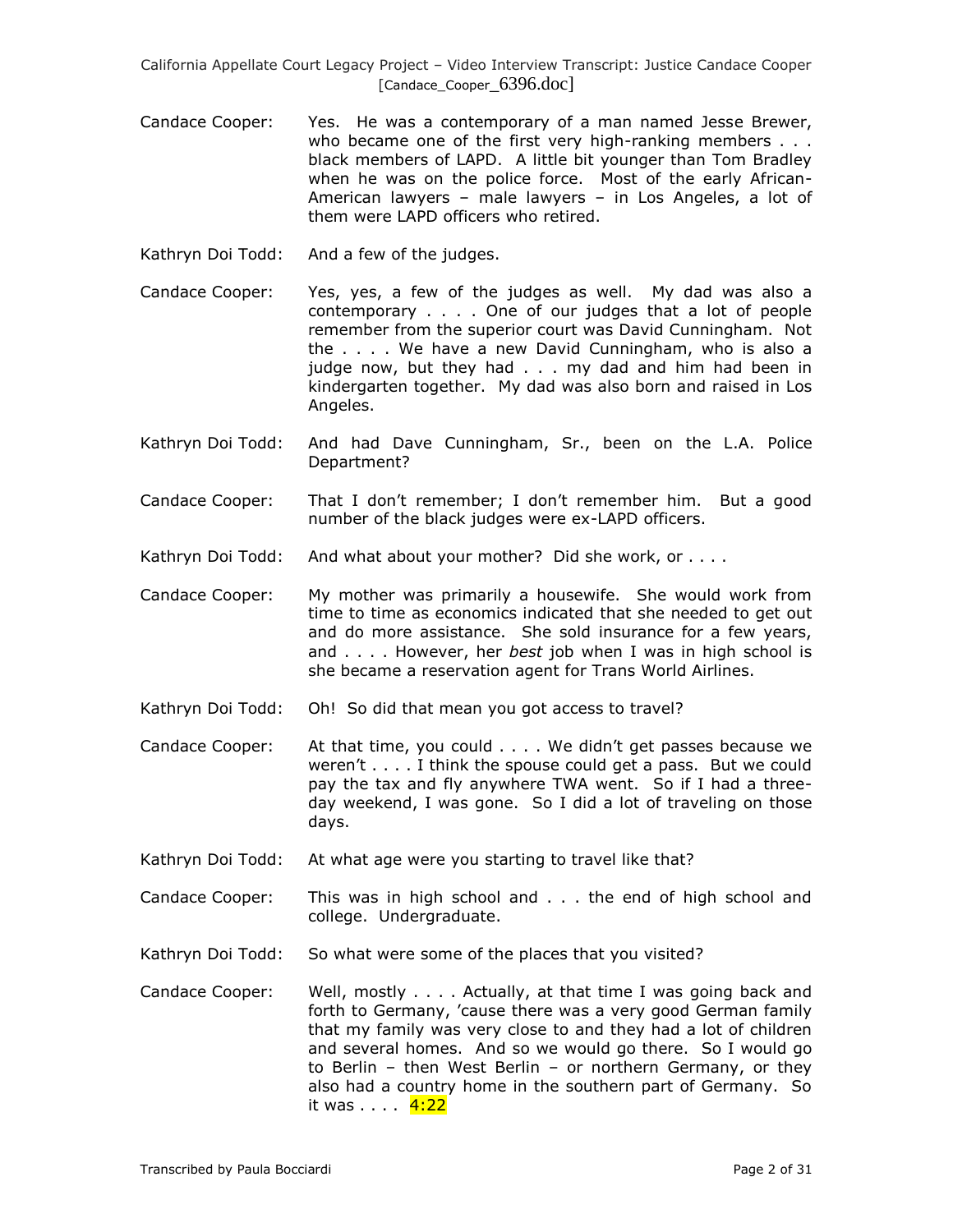- Candace Cooper: Yes. He was a contemporary of a man named Jesse Brewer, who became one of the first very high-ranking members . . . black members of LAPD. A little bit younger than Tom Bradley when he was on the police force. Most of the early African-American lawyers – male lawyers – in Los Angeles, a lot of them were LAPD officers who retired.
- Kathryn Doi Todd: And a few of the judges.
- Candace Cooper: Yes, yes, a few of the judges as well. My dad was also a contemporary . . . . One of our judges that a lot of people remember from the superior court was David Cunningham. Not the . . . . We have a new David Cunningham, who is also a judge now, but they had . . . my dad and him had been in kindergarten together. My dad was also born and raised in Los Angeles.
- Kathryn Doi Todd: And had Dave Cunningham, Sr., been on the L.A. Police Department?
- Candace Cooper: That I don't remember; I don't remember him. But a good number of the black judges were ex-LAPD officers.
- Kathryn Doi Todd: And what about your mother? Did she work, or . . . .
- Candace Cooper: My mother was primarily a housewife. She would work from time to time as economics indicated that she needed to get out and do more assistance. She sold insurance for a few years, and . . . . However, her *best* job when I was in high school is she became a reservation agent for Trans World Airlines.
- Kathryn Doi Todd: Oh! So did that mean you got access to travel?
- Candace Cooper: At that time, you could . . . . We didn't get passes because we weren't . . . . I think the spouse could get a pass. But we could pay the tax and fly anywhere TWA went. So if I had a threeday weekend, I was gone. So I did a lot of traveling on those days.
- Kathryn Doi Todd: At what age were you starting to travel like that?
- Candace Cooper: This was in high school and . . . the end of high school and college. Undergraduate.
- Kathryn Doi Todd: So what were some of the places that you visited?
- Candace Cooper: Well, mostly . . . . Actually, at that time I was going back and forth to Germany, 'cause there was a very good German family that my family was very close to and they had a lot of children and several homes. And so we would go there. So I would go to Berlin – then West Berlin – or northern Germany, or they also had a country home in the southern part of Germany. So it was . . . . <mark>4:22</mark>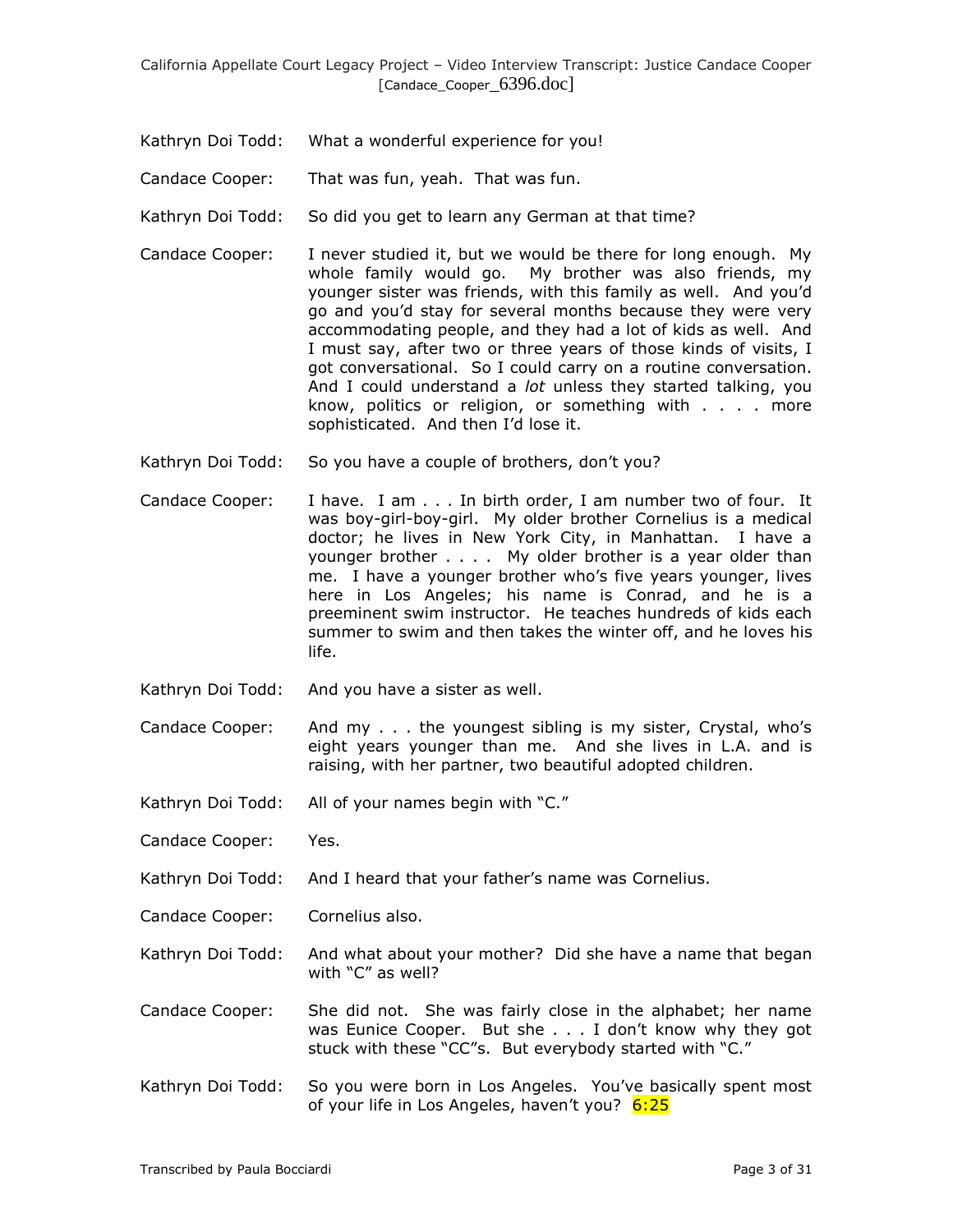- Kathryn Doi Todd: What a wonderful experience for you!
- Candace Cooper: That was fun, yeah. That was fun.
- Kathryn Doi Todd: So did you get to learn any German at that time?
- Candace Cooper: I never studied it, but we would be there for long enough. My whole family would go. My brother was also friends, my younger sister was friends, with this family as well. And you'd go and you'd stay for several months because they were very accommodating people, and they had a lot of kids as well. And I must say, after two or three years of those kinds of visits, I got conversational. So I could carry on a routine conversation. And I could understand a *lot* unless they started talking, you know, politics or religion, or something with . . . . more sophisticated. And then I'd lose it.
- Kathryn Doi Todd: So you have a couple of brothers, don't you?
- Candace Cooper: I have. I am . . . In birth order, I am number two of four. It was boy-girl-boy-girl. My older brother Cornelius is a medical doctor; he lives in New York City, in Manhattan. I have a younger brother . . . . My older brother is a year older than me. I have a younger brother who's five years younger, lives here in Los Angeles; his name is Conrad, and he is a preeminent swim instructor. He teaches hundreds of kids each summer to swim and then takes the winter off, and he loves his life.
- Kathryn Doi Todd: And you have a sister as well.
- Candace Cooper: And my . . . the youngest sibling is my sister, Crystal, who's eight years younger than me. And she lives in L.A. and is raising, with her partner, two beautiful adopted children.
- Kathryn Doi Todd: All of your names begin with "C."
- Candace Cooper: Yes.
- Kathryn Doi Todd: And I heard that your father's name was Cornelius.
- Candace Cooper: Cornelius also.
- Kathryn Doi Todd: And what about your mother? Did she have a name that began with "C" as well?
- Candace Cooper: She did not. She was fairly close in the alphabet; her name was Eunice Cooper. But she . . . I don't know why they got stuck with these "CC"s. But everybody started with "C."
- Kathryn Doi Todd: So you were born in Los Angeles. You've basically spent most of your life in Los Angeles, haven't you? 6:25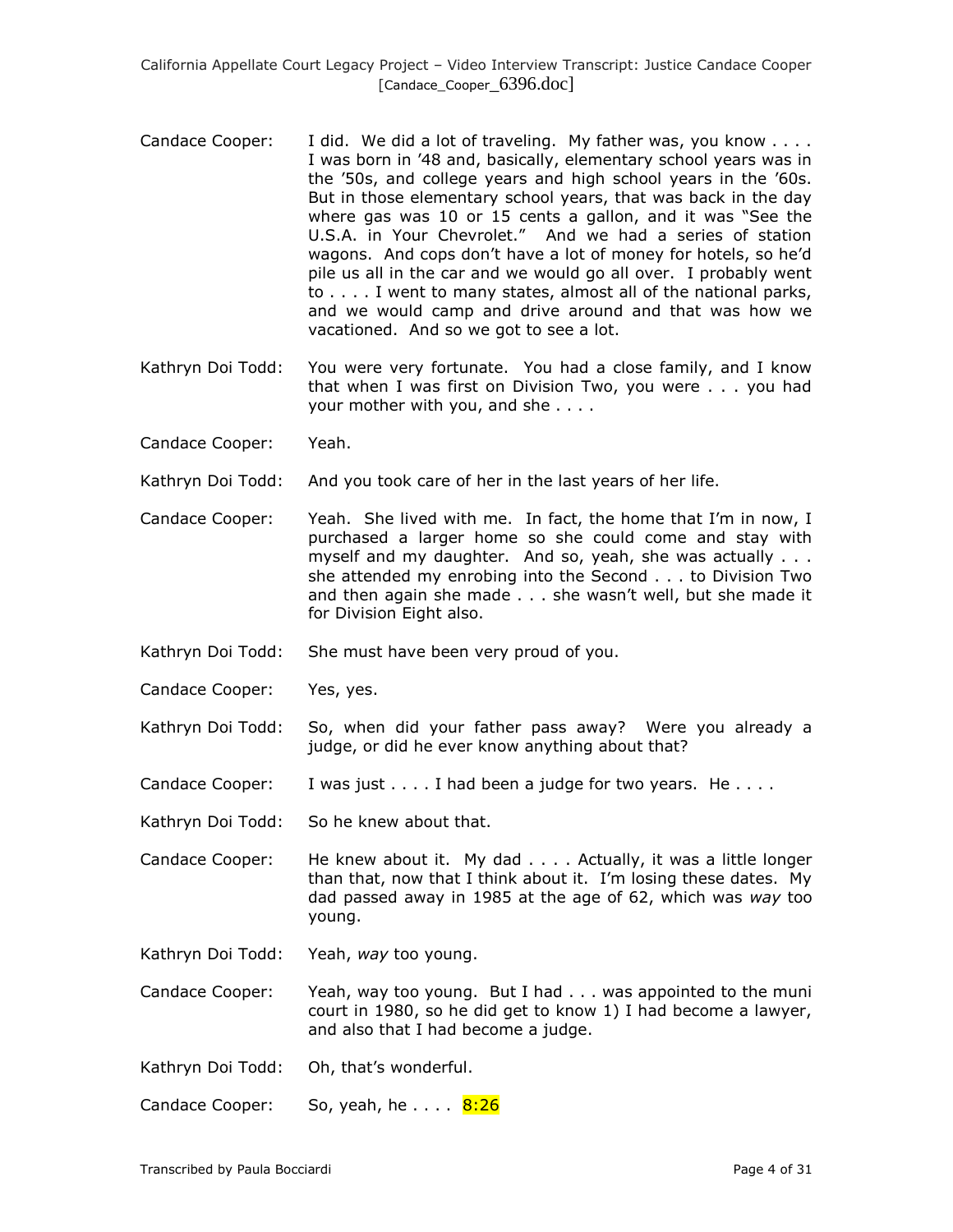- Candace Cooper: I did. We did a lot of traveling. My father was, you know . . . . I was born in '48 and, basically, elementary school years was in the '50s, and college years and high school years in the '60s. But in those elementary school years, that was back in the day where gas was 10 or 15 cents a gallon, and it was "See the U.S.A. in Your Chevrolet." And we had a series of station wagons. And cops don't have a lot of money for hotels, so he'd pile us all in the car and we would go all over. I probably went to . . . . I went to many states, almost all of the national parks, and we would camp and drive around and that was how we vacationed. And so we got to see a lot.
- Kathryn Doi Todd: You were very fortunate. You had a close family, and I know that when I was first on Division Two, you were . . . you had your mother with you, and she . . . .
- Candace Cooper: Yeah.
- Kathryn Doi Todd: And you took care of her in the last years of her life.
- Candace Cooper: Yeah. She lived with me. In fact, the home that I'm in now, I purchased a larger home so she could come and stay with myself and my daughter. And so, yeah, she was actually . . . she attended my enrobing into the Second . . . to Division Two and then again she made . . . she wasn't well, but she made it for Division Eight also.
- Kathryn Doi Todd: She must have been very proud of you.
- Candace Cooper: Yes, yes.
- Kathryn Doi Todd: So, when did your father pass away? Were you already a judge, or did he ever know anything about that?
- Candace Cooper: I was just  $\dots$  I had been a judge for two years. He  $\dots$ .
- Kathryn Doi Todd: So he knew about that.
- Candace Cooper: He knew about it. My dad . . . . Actually, it was a little longer than that, now that I think about it. I'm losing these dates. My dad passed away in 1985 at the age of 62, which was *way* too young.
- Kathryn Doi Todd: Yeah, *way* too young.
- Candace Cooper: Yeah, way too young. But I had . . . was appointed to the muni court in 1980, so he did get to know 1) I had become a lawyer, and also that I had become a judge.
- Kathryn Doi Todd: Oh, that's wonderful.
- Candace Cooper: So, yeah, he.... 8:26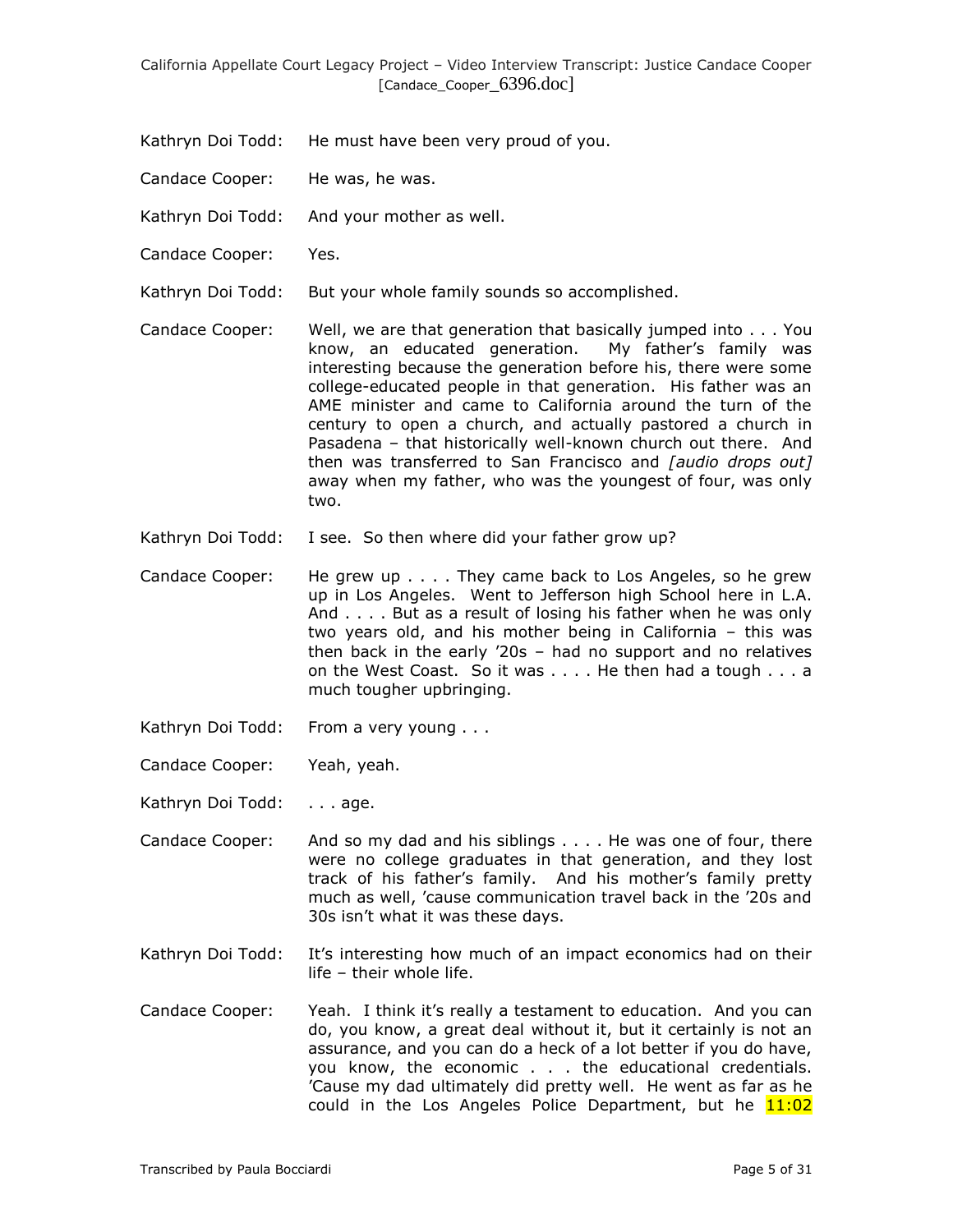- Kathryn Doi Todd: He must have been very proud of you.
- Candace Cooper: He was, he was.
- Kathryn Doi Todd: And your mother as well.
- Candace Cooper: Yes.
- Kathryn Doi Todd: But your whole family sounds so accomplished.
- Candace Cooper: Well, we are that generation that basically jumped into . . . You know, an educated generation. My father's family was interesting because the generation before his, there were some college-educated people in that generation. His father was an AME minister and came to California around the turn of the century to open a church, and actually pastored a church in Pasadena – that historically well-known church out there. And then was transferred to San Francisco and *[audio drops out]* away when my father, who was the youngest of four, was only two.
- Kathryn Doi Todd: I see. So then where did your father grow up?
- Candace Cooper: He grew up . . . . They came back to Los Angeles, so he grew up in Los Angeles. Went to Jefferson high School here in L.A. And . . . . But as a result of losing his father when he was only two years old, and his mother being in California – this was then back in the early '20s – had no support and no relatives on the West Coast. So it was . . . . He then had a tough . . . a much tougher upbringing.
- Kathryn Doi Todd: From a very young . . .
- Candace Cooper: Yeah, yeah.
- Kathryn Doi Todd: . . . age.
- Candace Cooper: And so my dad and his siblings . . . . He was one of four, there were no college graduates in that generation, and they lost track of his father's family. And his mother's family pretty much as well, 'cause communication travel back in the '20s and 30s isn't what it was these days.
- Kathryn Doi Todd: It's interesting how much of an impact economics had on their life – their whole life.
- Candace Cooper: Yeah. I think it's really a testament to education. And you can do, you know, a great deal without it, but it certainly is not an assurance, and you can do a heck of a lot better if you do have, you know, the economic . . . the educational credentials. 'Cause my dad ultimately did pretty well. He went as far as he could in the Los Angeles Police Department, but he  $11:02$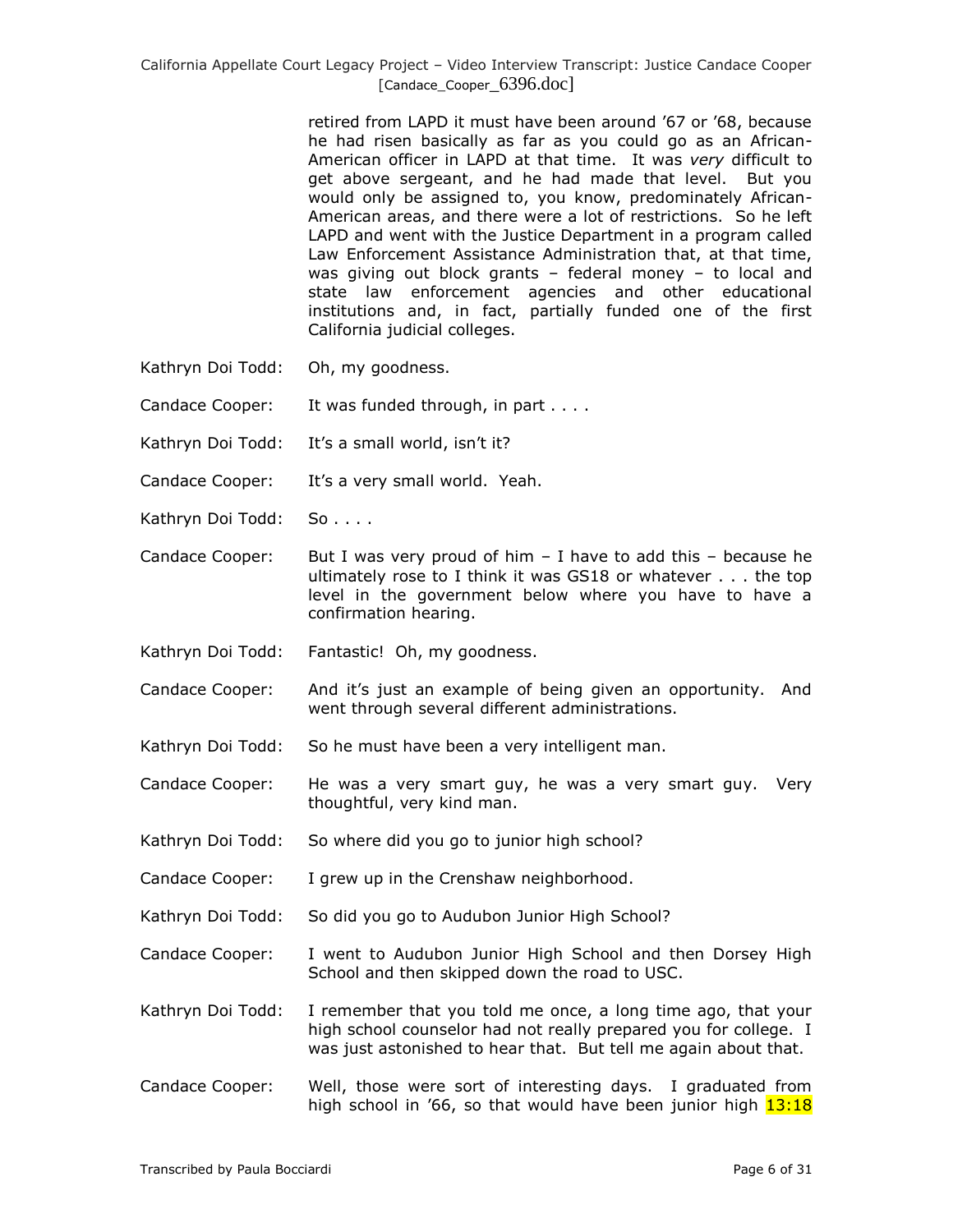retired from LAPD it must have been around '67 or '68, because he had risen basically as far as you could go as an African-American officer in LAPD at that time. It was *very* difficult to get above sergeant, and he had made that level. But you would only be assigned to, you know, predominately African-American areas, and there were a lot of restrictions. So he left LAPD and went with the Justice Department in a program called Law Enforcement Assistance Administration that, at that time, was giving out block grants – federal money – to local and state law enforcement agencies and other educational institutions and, in fact, partially funded one of the first California judicial colleges.

- Kathryn Doi Todd: Oh, my goodness.
- Candace Cooper: It was funded through, in part . . . .
- Kathryn Doi Todd: It's a small world, isn't it?
- Candace Cooper: It's a very small world. Yeah.
- Kathryn Doi Todd: So . . . .
- Candace Cooper: But I was very proud of him  $-$  I have to add this  $-$  because he ultimately rose to I think it was GS18 or whatever . . . the top level in the government below where you have to have a confirmation hearing.
- Kathryn Doi Todd: Fantastic! Oh, my goodness.
- Candace Cooper: And it's just an example of being given an opportunity. And went through several different administrations.
- Kathryn Doi Todd: So he must have been a very intelligent man.
- Candace Cooper: He was a very smart guy, he was a very smart guy. Very thoughtful, very kind man.
- Kathryn Doi Todd: So where did you go to junior high school?
- Candace Cooper: I grew up in the Crenshaw neighborhood.
- Kathryn Doi Todd: So did you go to Audubon Junior High School?
- Candace Cooper: I went to Audubon Junior High School and then Dorsey High School and then skipped down the road to USC.
- Kathryn Doi Todd: I remember that you told me once, a long time ago, that your high school counselor had not really prepared you for college. I was just astonished to hear that. But tell me again about that.
- Candace Cooper: Well, those were sort of interesting days. I graduated from high school in '66, so that would have been junior high  $13:18$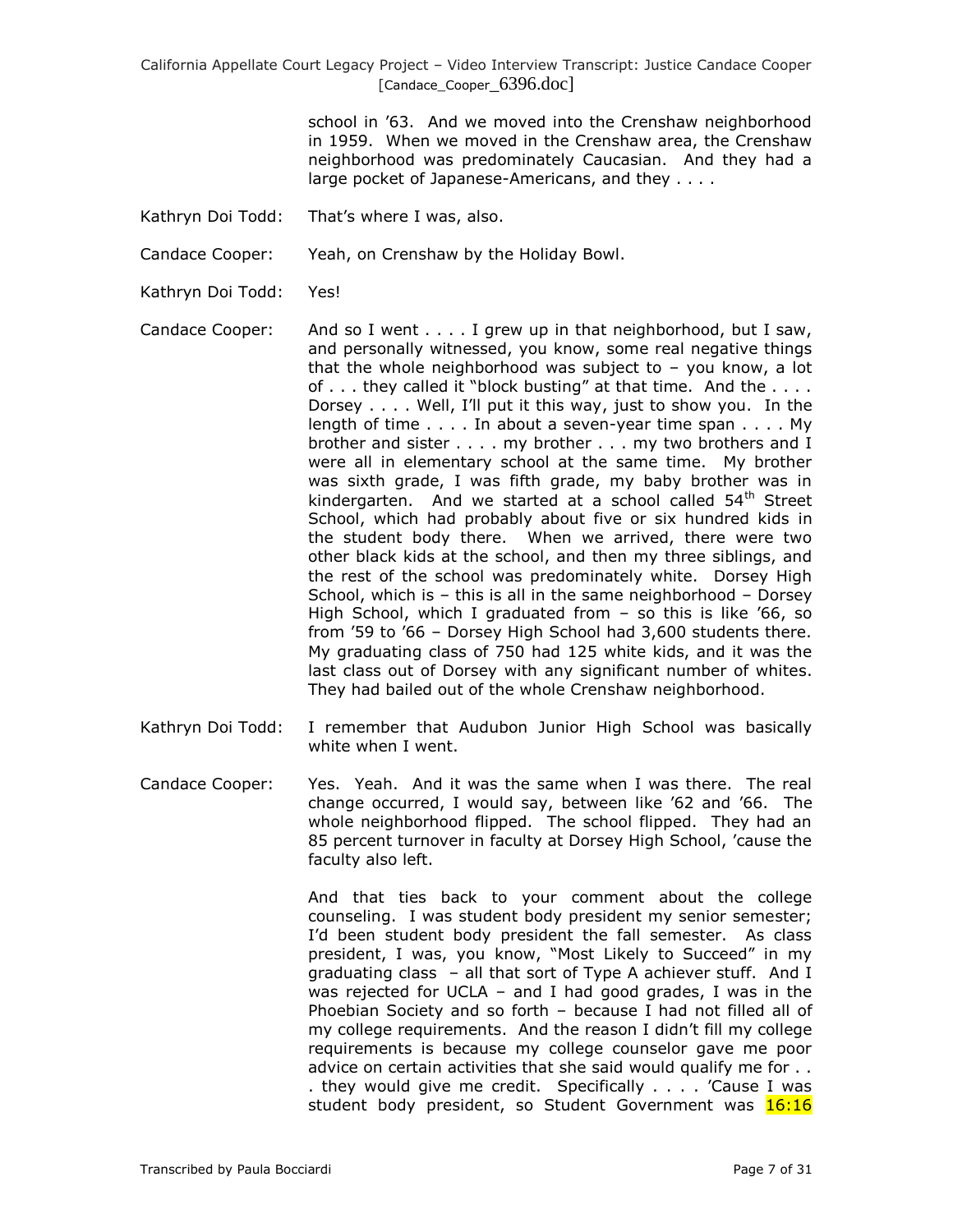> school in '63. And we moved into the Crenshaw neighborhood in 1959. When we moved in the Crenshaw area, the Crenshaw neighborhood was predominately Caucasian. And they had a large pocket of Japanese-Americans, and they . . . .

Kathryn Doi Todd: That's where I was, also.

Candace Cooper: Yeah, on Crenshaw by the Holiday Bowl.

Kathryn Doi Todd: Yes!

Candace Cooper: And so I went . . . . I grew up in that neighborhood, but I saw, and personally witnessed, you know, some real negative things that the whole neighborhood was subject to  $-$  you know, a lot of . . . they called it "block busting" at that time. And the . . . . Dorsey . . . . Well, I'll put it this way, just to show you. In the length of time . . . . In about a seven-year time span . . . . My brother and sister . . . . my brother . . . my two brothers and I were all in elementary school at the same time. My brother was sixth grade, I was fifth grade, my baby brother was in kindergarten. And we started at a school called  $54<sup>th</sup>$  Street School, which had probably about five or six hundred kids in the student body there. When we arrived, there were two other black kids at the school, and then my three siblings, and the rest of the school was predominately white. Dorsey High School, which is – this is all in the same neighborhood – Dorsey High School, which I graduated from – so this is like '66, so from '59 to '66 – Dorsey High School had 3,600 students there. My graduating class of 750 had 125 white kids, and it was the last class out of Dorsey with any significant number of whites. They had bailed out of the whole Crenshaw neighborhood.

- Kathryn Doi Todd: I remember that Audubon Junior High School was basically white when I went.
- Candace Cooper: Yes. Yeah. And it was the same when I was there. The real change occurred, I would say, between like '62 and '66. The whole neighborhood flipped. The school flipped. They had an 85 percent turnover in faculty at Dorsey High School, 'cause the faculty also left.

And that ties back to your comment about the college counseling. I was student body president my senior semester; I'd been student body president the fall semester. As class president, I was, you know, "Most Likely to Succeed" in my graduating class – all that sort of Type A achiever stuff. And I was rejected for UCLA – and I had good grades, I was in the Phoebian Society and so forth – because I had not filled all of my college requirements. And the reason I didn't fill my college requirements is because my college counselor gave me poor advice on certain activities that she said would qualify me for . . . they would give me credit. Specifically . . . . 'Cause I was student body president, so Student Government was 16:16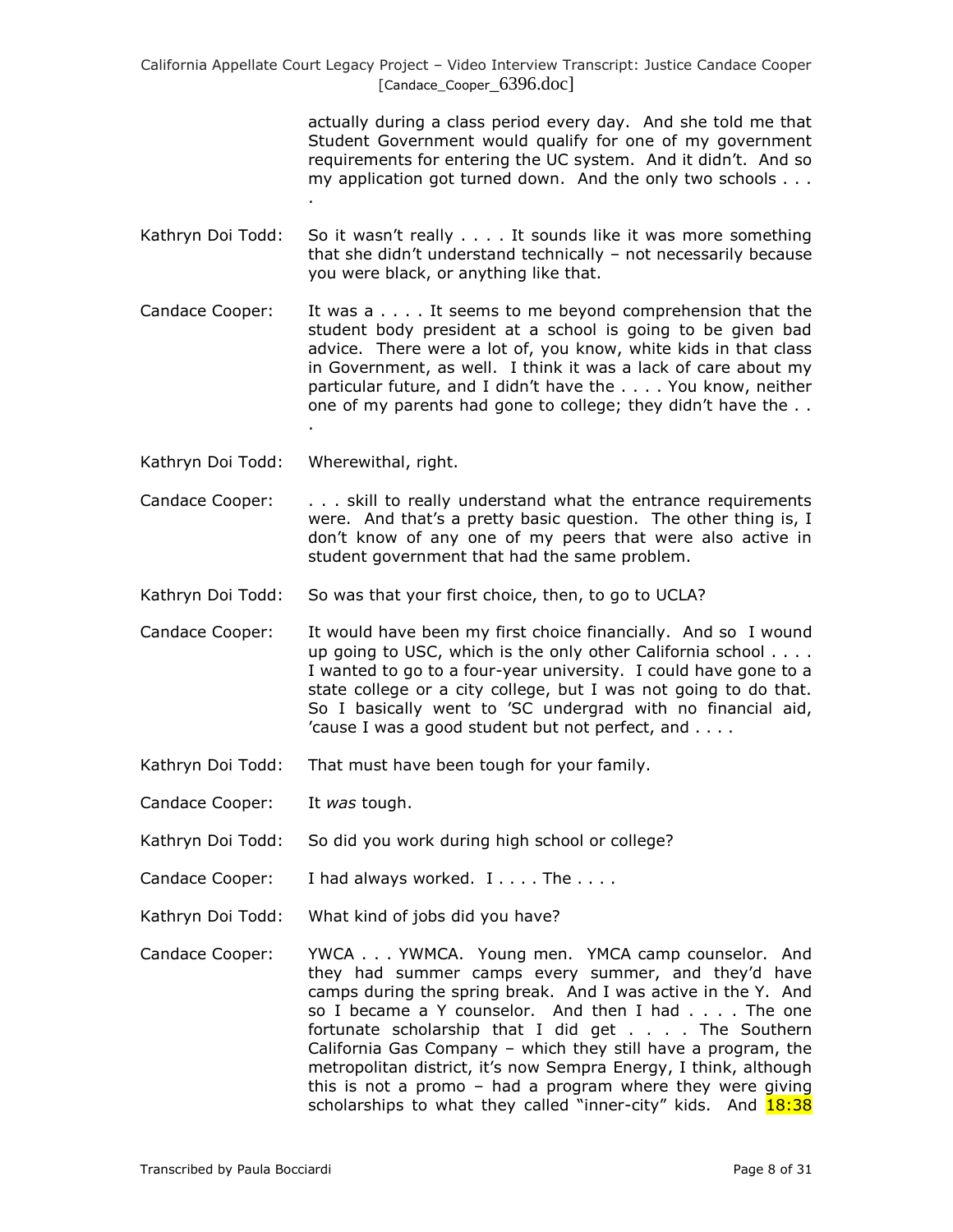> actually during a class period every day. And she told me that Student Government would qualify for one of my government requirements for entering the UC system. And it didn't. And so my application got turned down. And the only two schools . . . .

- Kathryn Doi Todd: So it wasn't really . . . . It sounds like it was more something that she didn't understand technically – not necessarily because you were black, or anything like that.
- Candace Cooper: It was a . . . . It seems to me beyond comprehension that the student body president at a school is going to be given bad advice. There were a lot of, you know, white kids in that class in Government, as well. I think it was a lack of care about my particular future, and I didn't have the . . . . You know, neither one of my parents had gone to college; they didn't have the . . .
- Kathryn Doi Todd: Wherewithal, right.
- Candace Cooper: . . . skill to really understand what the entrance requirements were. And that's a pretty basic question. The other thing is, I don't know of any one of my peers that were also active in student government that had the same problem.
- Kathryn Doi Todd: So was that your first choice, then, to go to UCLA?
- Candace Cooper: It would have been my first choice financially. And so I wound up going to USC, which is the only other California school . . . . I wanted to go to a four-year university. I could have gone to a state college or a city college, but I was not going to do that. So I basically went to 'SC undergrad with no financial aid, 'cause I was a good student but not perfect, and . . . .
- Kathryn Doi Todd: That must have been tough for your family.
- Candace Cooper: It *was* tough.
- Kathryn Doi Todd: So did you work during high school or college?
- Candace Cooper: I had always worked. I . . . . The . . . .
- Kathryn Doi Todd: What kind of jobs did you have?
- Candace Cooper: YWCA . . . YWMCA. Young men. YMCA camp counselor. And they had summer camps every summer, and they'd have camps during the spring break. And I was active in the Y. And so I became a Y counselor. And then I had . . . . The one fortunate scholarship that I did get . . . . The Southern California Gas Company – which they still have a program, the metropolitan district, it's now Sempra Energy, I think, although this is not a promo – had a program where they were giving scholarships to what they called "inner-city" kids. And **18:38**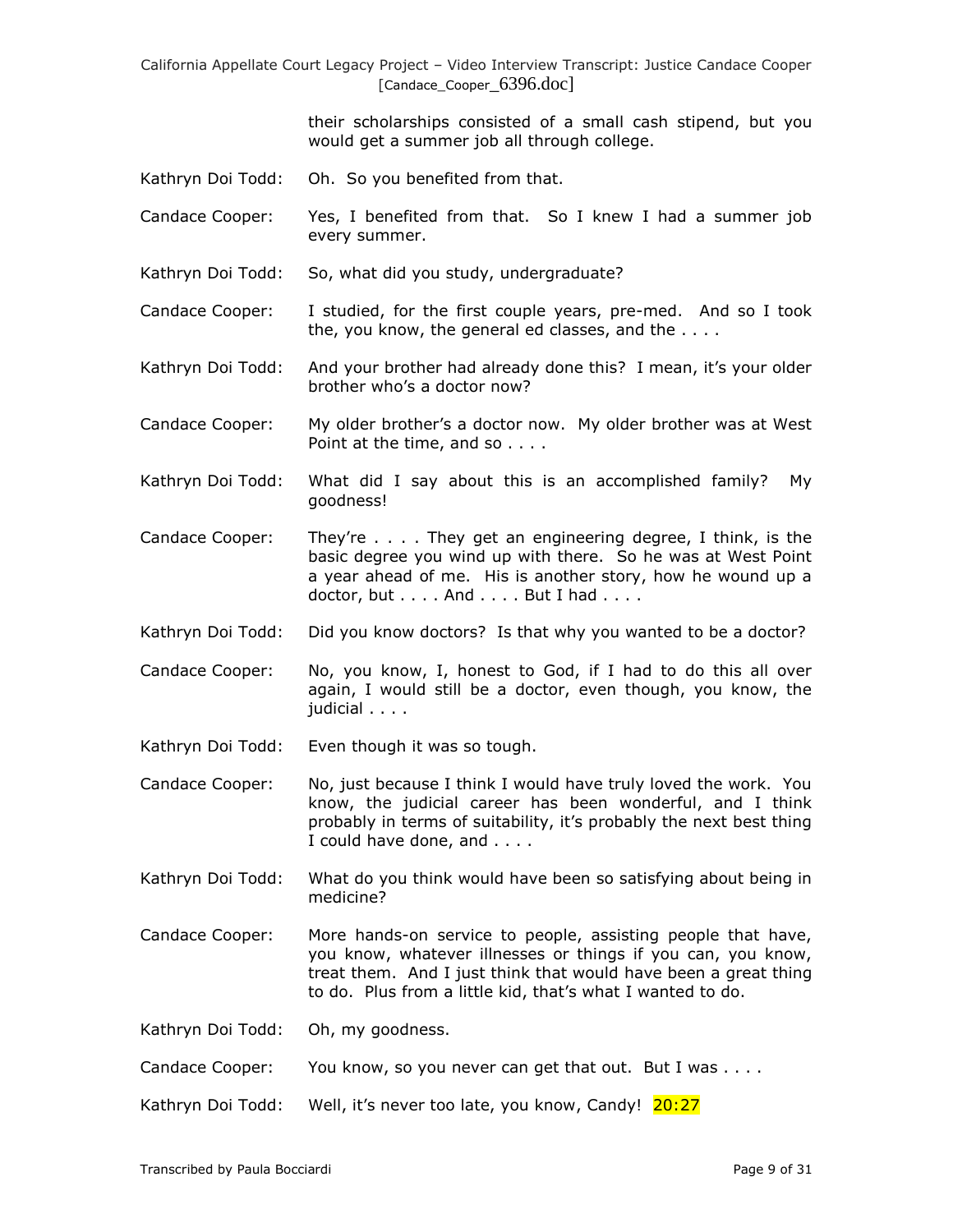their scholarships consisted of a small cash stipend, but you would get a summer job all through college.

- Kathryn Doi Todd: Oh. So you benefited from that.
- Candace Cooper: Yes, I benefited from that. So I knew I had a summer job every summer.
- Kathryn Doi Todd: So, what did you study, undergraduate?
- Candace Cooper: I studied, for the first couple years, pre-med. And so I took the, you know, the general ed classes, and the . . . .
- Kathryn Doi Todd: And your brother had already done this? I mean, it's your older brother who's a doctor now?
- Candace Cooper: My older brother's a doctor now. My older brother was at West Point at the time, and so . . . .
- Kathryn Doi Todd: What did I say about this is an accomplished family? My goodness!
- Candace Cooper: They're . . . . They get an engineering degree, I think, is the basic degree you wind up with there. So he was at West Point a year ahead of me. His is another story, how he wound up a  $doctor, but \ldots$ . And  $\ldots$ . But I had  $\ldots$ .
- Kathryn Doi Todd: Did you know doctors? Is that why you wanted to be a doctor?
- Candace Cooper: No, you know, I, honest to God, if I had to do this all over again, I would still be a doctor, even though, you know, the judicial . . . .
- Kathryn Doi Todd: Even though it was so tough.
- Candace Cooper: No, just because I think I would have truly loved the work. You know, the judicial career has been wonderful, and I think probably in terms of suitability, it's probably the next best thing I could have done, and . . . .
- Kathryn Doi Todd: What do you think would have been so satisfying about being in medicine?
- Candace Cooper: More hands-on service to people, assisting people that have, you know, whatever illnesses or things if you can, you know, treat them. And I just think that would have been a great thing to do. Plus from a little kid, that's what I wanted to do.
- Kathryn Doi Todd: Oh, my goodness.
- Candace Cooper: You know, so you never can get that out. But I was . . . .
- Kathryn Doi Todd: Well, it's never too late, you know, Candy! 20:27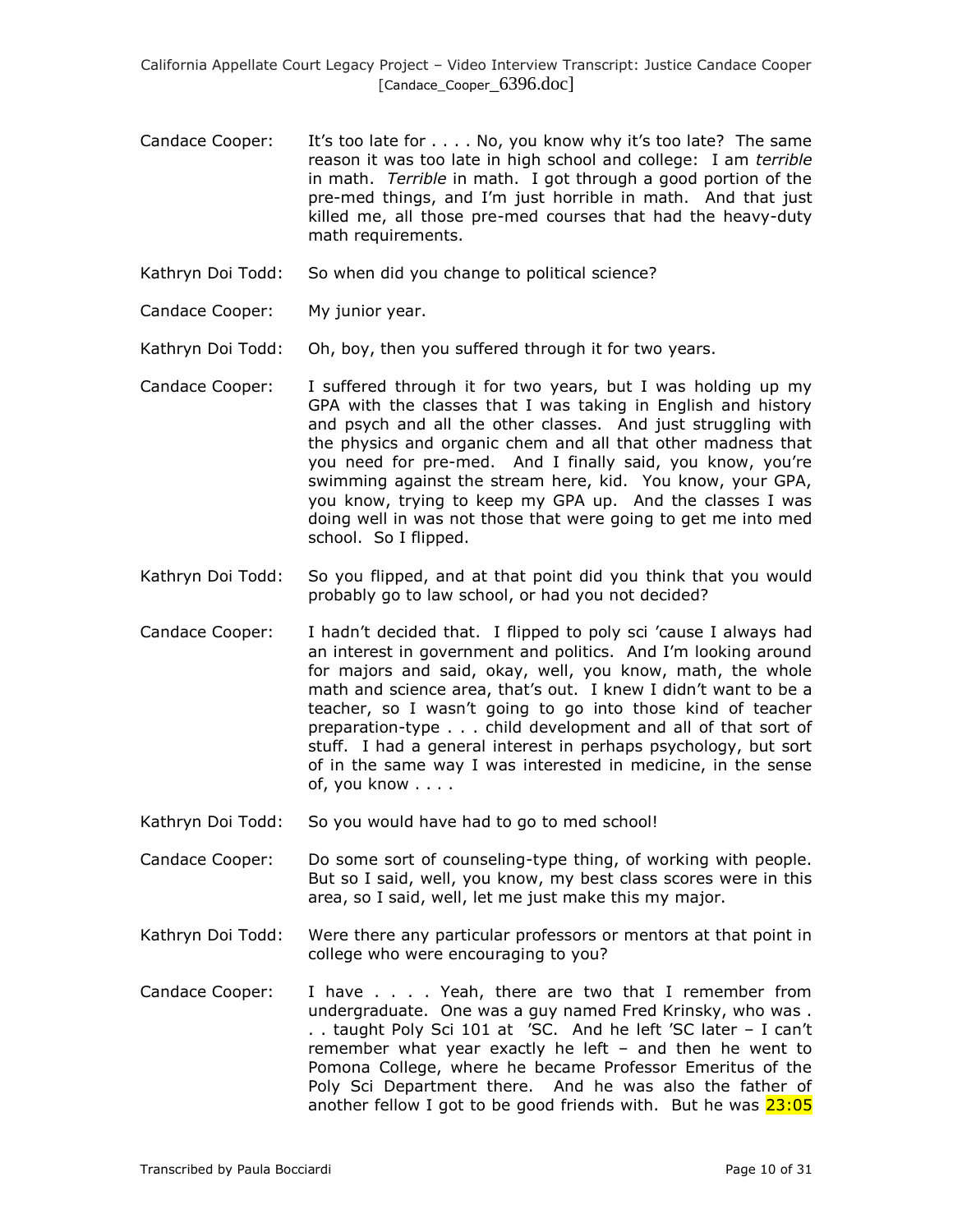- Candace Cooper: It's too late for . . . . No, you know why it's too late? The same reason it was too late in high school and college: I am *terrible* in math. *Terrible* in math. I got through a good portion of the pre-med things, and I'm just horrible in math. And that just killed me, all those pre-med courses that had the heavy-duty math requirements.
- Kathryn Doi Todd: So when did you change to political science?
- Candace Cooper: My junior year.
- Kathryn Doi Todd: Oh, boy, then you suffered through it for two years.
- Candace Cooper: I suffered through it for two years, but I was holding up my GPA with the classes that I was taking in English and history and psych and all the other classes. And just struggling with the physics and organic chem and all that other madness that you need for pre-med. And I finally said, you know, you're swimming against the stream here, kid. You know, your GPA, you know, trying to keep my GPA up. And the classes I was doing well in was not those that were going to get me into med school. So I flipped.
- Kathryn Doi Todd: So you flipped, and at that point did you think that you would probably go to law school, or had you not decided?
- Candace Cooper: I hadn't decided that. I flipped to poly sci 'cause I always had an interest in government and politics. And I'm looking around for majors and said, okay, well, you know, math, the whole math and science area, that's out. I knew I didn't want to be a teacher, so I wasn't going to go into those kind of teacher preparation-type . . . child development and all of that sort of stuff. I had a general interest in perhaps psychology, but sort of in the same way I was interested in medicine, in the sense of, you know . . . .
- Kathryn Doi Todd: So you would have had to go to med school!
- Candace Cooper: Do some sort of counseling-type thing, of working with people. But so I said, well, you know, my best class scores were in this area, so I said, well, let me just make this my major.
- Kathryn Doi Todd: Were there any particular professors or mentors at that point in college who were encouraging to you?
- Candace Cooper: I have . . . . Yeah, there are two that I remember from undergraduate. One was a guy named Fred Krinsky, who was . . . taught Poly Sci 101 at 'SC. And he left 'SC later – I can't remember what year exactly he left – and then he went to Pomona College, where he became Professor Emeritus of the Poly Sci Department there. And he was also the father of another fellow I got to be good friends with. But he was  $23:05$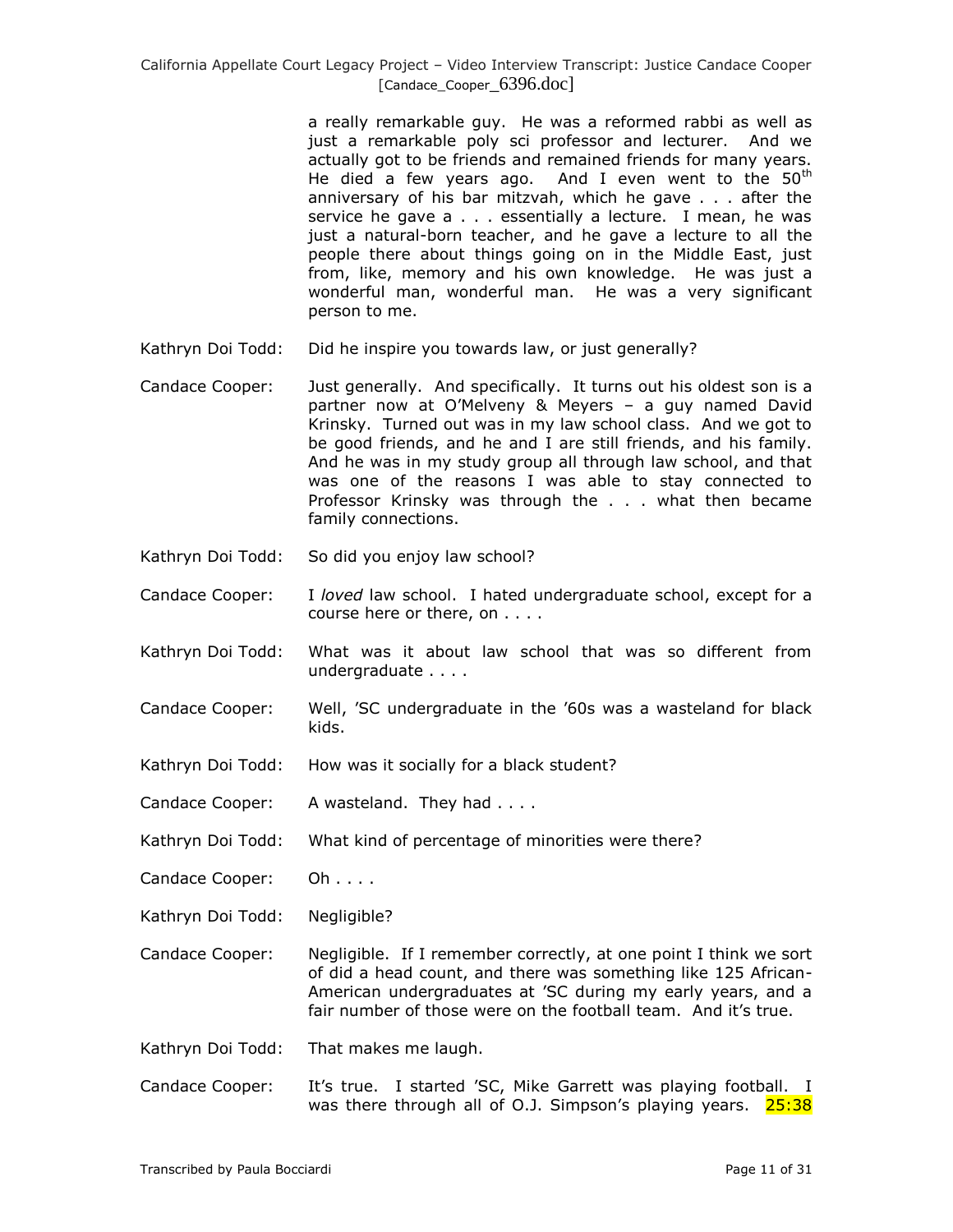a really remarkable guy. He was a reformed rabbi as well as just a remarkable poly sci professor and lecturer. And we actually got to be friends and remained friends for many years. He died a few years ago. And I even went to the  $50<sup>th</sup>$ anniversary of his bar mitzvah, which he gave . . . after the service he gave a . . . essentially a lecture. I mean, he was just a natural-born teacher, and he gave a lecture to all the people there about things going on in the Middle East, just from, like, memory and his own knowledge. He was just a wonderful man, wonderful man. He was a very significant person to me.

- Kathryn Doi Todd: Did he inspire you towards law, or just generally?
- Candace Cooper: Just generally. And specifically. It turns out his oldest son is a partner now at O'Melveny & Meyers – a guy named David Krinsky. Turned out was in my law school class. And we got to be good friends, and he and I are still friends, and his family. And he was in my study group all through law school, and that was one of the reasons I was able to stay connected to Professor Krinsky was through the . . . what then became family connections.
- Kathryn Doi Todd: So did you enjoy law school?
- Candace Cooper: I *loved* law school. I hated undergraduate school, except for a course here or there, on . . . .
- Kathryn Doi Todd: What was it about law school that was so different from undergraduate . . . .
- Candace Cooper: Well, 'SC undergraduate in the '60s was a wasteland for black kids.
- Kathryn Doi Todd: How was it socially for a black student?
- Candace Cooper: A wasteland. They had . . . .
- Kathryn Doi Todd: What kind of percentage of minorities were there?
- Candace Cooper: Oh . . . .
- Kathryn Doi Todd: Negligible?
- Candace Cooper: Negligible. If I remember correctly, at one point I think we sort of did a head count, and there was something like 125 African-American undergraduates at 'SC during my early years, and a fair number of those were on the football team. And it's true.
- Kathryn Doi Todd: That makes me laugh.
- Candace Cooper: It's true. I started 'SC, Mike Garrett was playing football. I was there through all of O.J. Simpson's playing years. 25:38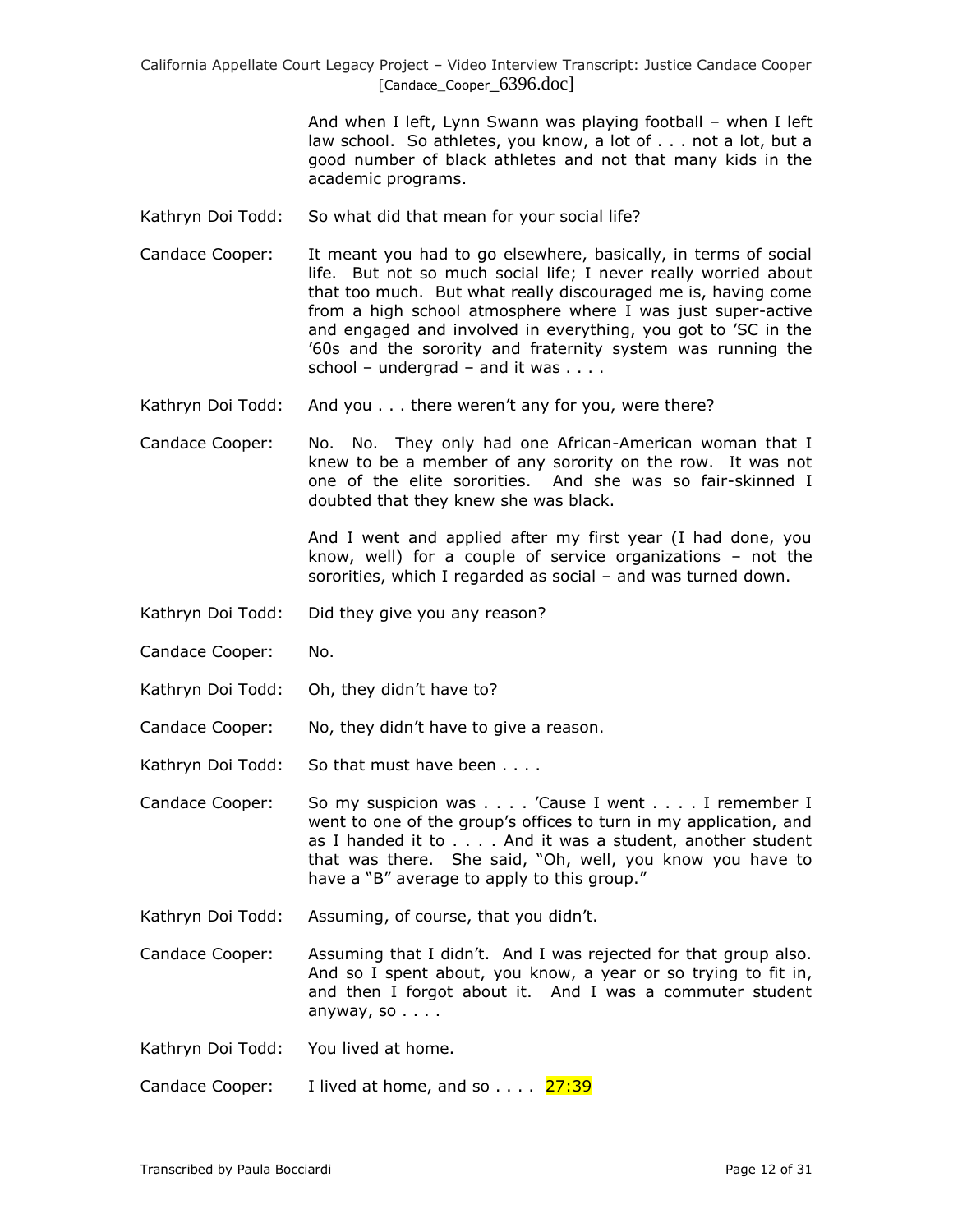> And when I left, Lynn Swann was playing football – when I left law school. So athletes, you know, a lot of . . . not a lot, but a good number of black athletes and not that many kids in the academic programs.

- Kathryn Doi Todd: So what did that mean for your social life?
- Candace Cooper: It meant you had to go elsewhere, basically, in terms of social life. But not so much social life; I never really worried about that too much. But what really discouraged me is, having come from a high school atmosphere where I was just super-active and engaged and involved in everything, you got to 'SC in the '60s and the sorority and fraternity system was running the school – undergrad – and it was  $\dots$ .
- Kathryn Doi Todd: And you . . . there weren't any for you, were there?
- Candace Cooper: No. No. They only had one African-American woman that I knew to be a member of any sorority on the row. It was not one of the elite sororities. And she was so fair-skinned I doubted that they knew she was black.

And I went and applied after my first year (I had done, you know, well) for a couple of service organizations – not the sororities, which I regarded as social – and was turned down.

- Kathryn Doi Todd: Did they give you any reason?
- Candace Cooper: No.
- Kathryn Doi Todd: Oh, they didn't have to?
- Candace Cooper: No, they didn't have to give a reason.
- Kathryn Doi Todd: So that must have been . . . .

Candace Cooper: So my suspicion was . . . . 'Cause I went . . . . I remember I went to one of the group's offices to turn in my application, and as I handed it to . . . . And it was a student, another student that was there. She said, "Oh, well, you know you have to have a "B" average to apply to this group."

- Kathryn Doi Todd: Assuming, of course, that you didn't.
- Candace Cooper: Assuming that I didn't. And I was rejected for that group also. And so I spent about, you know, a year or so trying to fit in, and then I forgot about it. And I was a commuter student anyway, so  $\ldots$ .
- Kathryn Doi Todd: You lived at home.
- Candace Cooper: I lived at home, and so  $\dots$  27:39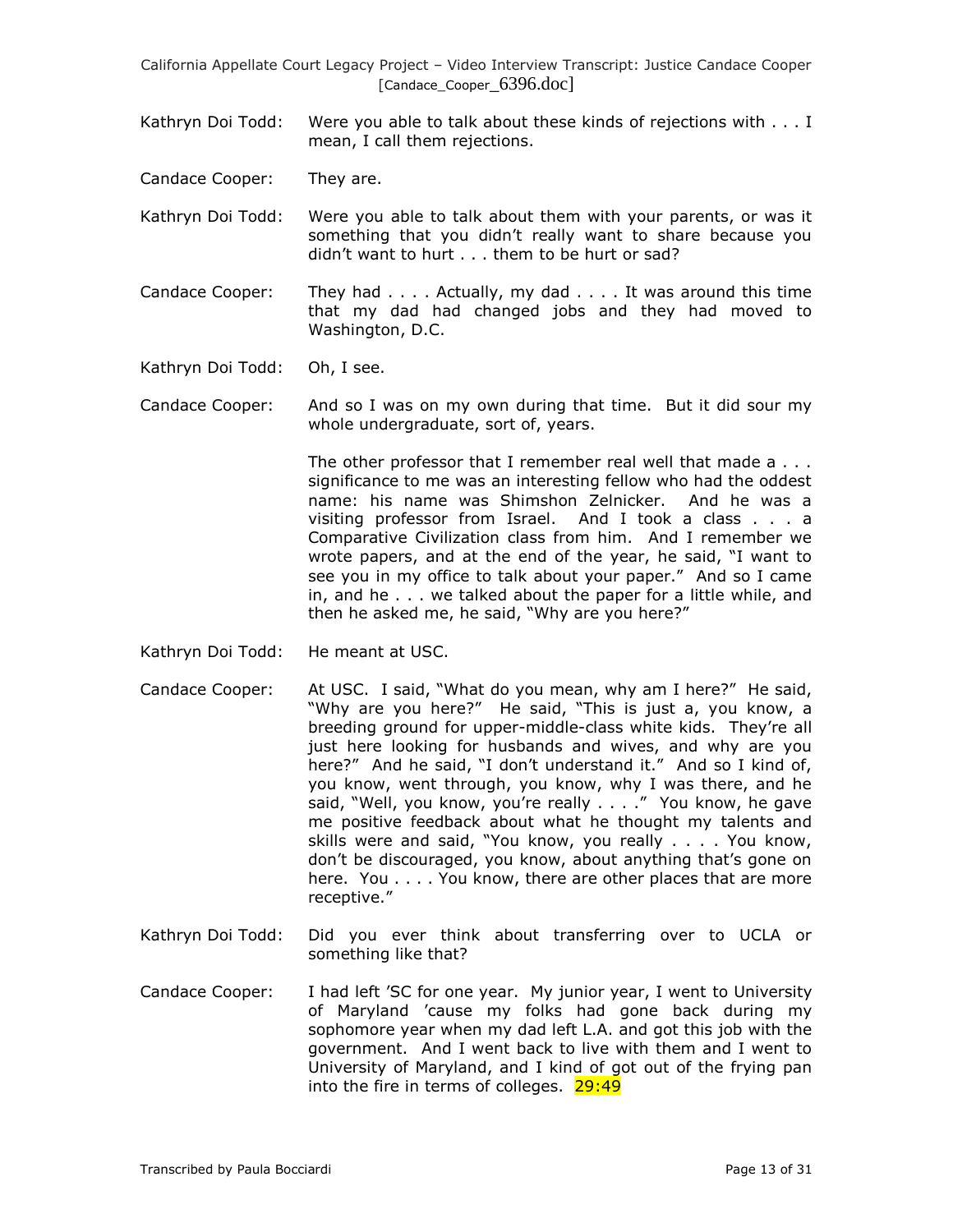Kathryn Doi Todd: Were you able to talk about these kinds of rejections with . . . I mean, I call them rejections.

Candace Cooper: They are.

- Kathryn Doi Todd: Were you able to talk about them with your parents, or was it something that you didn't really want to share because you didn't want to hurt . . . them to be hurt or sad?
- Candace Cooper: They had  $\dots$ . Actually, my dad  $\dots$ . It was around this time that my dad had changed jobs and they had moved to Washington, D.C.
- Kathryn Doi Todd: Oh, I see.
- Candace Cooper: And so I was on my own during that time. But it did sour my whole undergraduate, sort of, years.

The other professor that I remember real well that made a . . . significance to me was an interesting fellow who had the oddest name: his name was Shimshon Zelnicker. And he was a visiting professor from Israel. And I took a class . . . a Comparative Civilization class from him. And I remember we wrote papers, and at the end of the year, he said, "I want to see you in my office to talk about your paper." And so I came in, and he . . . we talked about the paper for a little while, and then he asked me, he said, "Why are you here?"

- Kathryn Doi Todd: He meant at USC.
- Candace Cooper: At USC. I said, "What do you mean, why am I here?" He said, "Why are you here?" He said, "This is just a, you know, a breeding ground for upper-middle-class white kids. They're all just here looking for husbands and wives, and why are you here?" And he said, "I don't understand it." And so I kind of, you know, went through, you know, why I was there, and he said, "Well, you know, you're really . . . ." You know, he gave me positive feedback about what he thought my talents and skills were and said, "You know, you really . . . . You know, don't be discouraged, you know, about anything that's gone on here. You . . . . You know, there are other places that are more receptive."
- Kathryn Doi Todd: Did you ever think about transferring over to UCLA or something like that?
- Candace Cooper: I had left 'SC for one year. My junior year, I went to University of Maryland 'cause my folks had gone back during my sophomore year when my dad left L.A. and got this job with the government. And I went back to live with them and I went to University of Maryland, and I kind of got out of the frying pan into the fire in terms of colleges.  $29:49$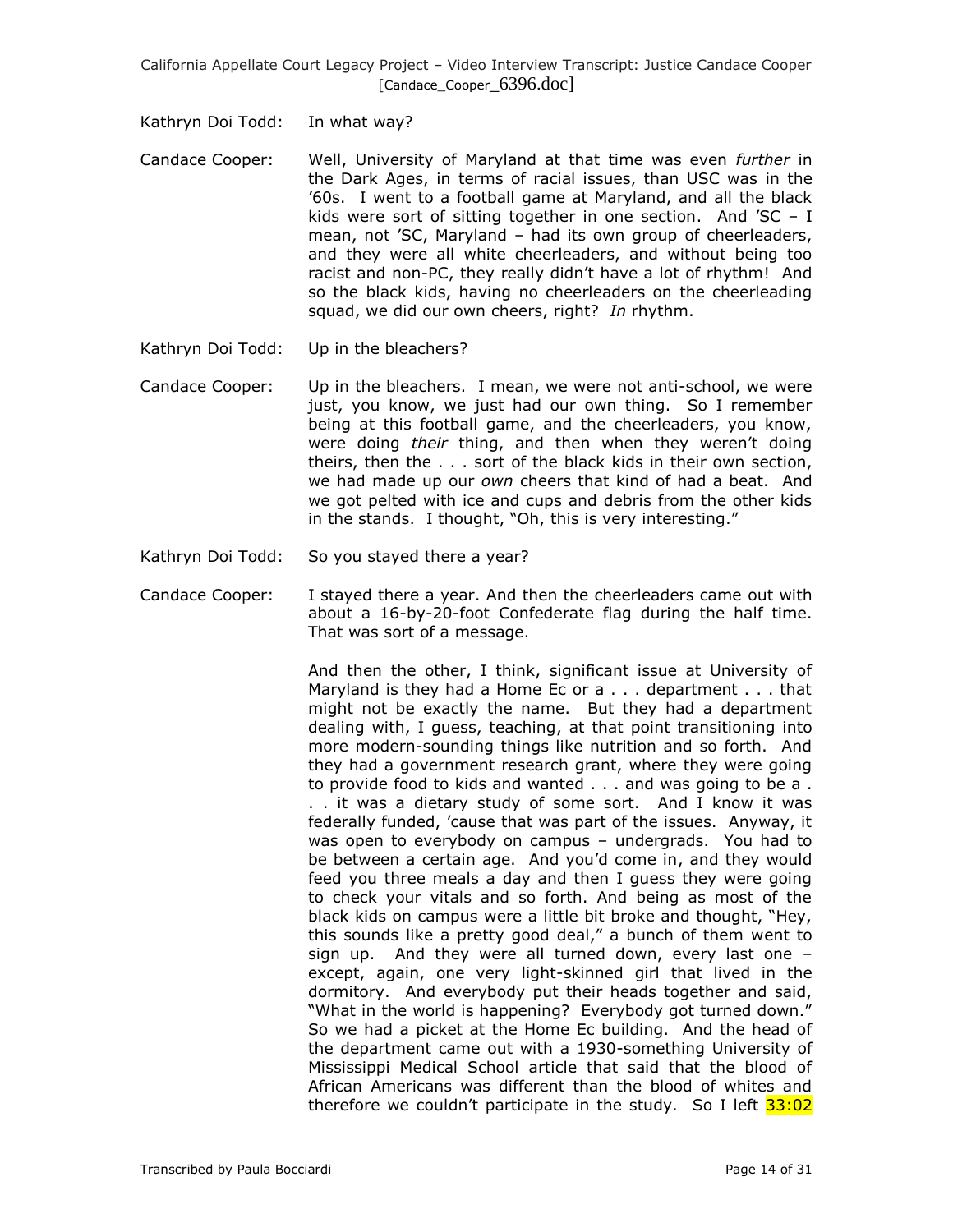Kathryn Doi Todd: In what way?

- Candace Cooper: Well, University of Maryland at that time was even *further* in the Dark Ages, in terms of racial issues, than USC was in the '60s. I went to a football game at Maryland, and all the black kids were sort of sitting together in one section. And 'SC – I mean, not 'SC, Maryland – had its own group of cheerleaders, and they were all white cheerleaders, and without being too racist and non-PC, they really didn't have a lot of rhythm! And so the black kids, having no cheerleaders on the cheerleading squad, we did our own cheers, right? *In* rhythm.
- Kathryn Doi Todd: Up in the bleachers?
- Candace Cooper: Up in the bleachers. I mean, we were not anti-school, we were just, you know, we just had our own thing. So I remember being at this football game, and the cheerleaders, you know, were doing *their* thing, and then when they weren't doing theirs, then the . . . sort of the black kids in their own section, we had made up our *own* cheers that kind of had a beat. And we got pelted with ice and cups and debris from the other kids in the stands. I thought, "Oh, this is very interesting."
- Kathryn Doi Todd: So you stayed there a year?
- Candace Cooper: I stayed there a year. And then the cheerleaders came out with about a 16-by-20-foot Confederate flag during the half time. That was sort of a message.

And then the other, I think, significant issue at University of Maryland is they had a Home Ec or a . . . department . . . that might not be exactly the name. But they had a department dealing with, I guess, teaching, at that point transitioning into more modern-sounding things like nutrition and so forth. And they had a government research grant, where they were going to provide food to kids and wanted . . . and was going to be a . . . it was a dietary study of some sort. And I know it was federally funded, 'cause that was part of the issues. Anyway, it was open to everybody on campus – undergrads. You had to be between a certain age. And you'd come in, and they would feed you three meals a day and then I guess they were going to check your vitals and so forth. And being as most of the black kids on campus were a little bit broke and thought, "Hey, this sounds like a pretty good deal," a bunch of them went to sign up. And they were all turned down, every last one – except, again, one very light-skinned girl that lived in the dormitory. And everybody put their heads together and said, "What in the world is happening? Everybody got turned down." So we had a picket at the Home Ec building. And the head of the department came out with a 1930-something University of Mississippi Medical School article that said that the blood of African Americans was different than the blood of whites and therefore we couldn't participate in the study. So I left  $33:02$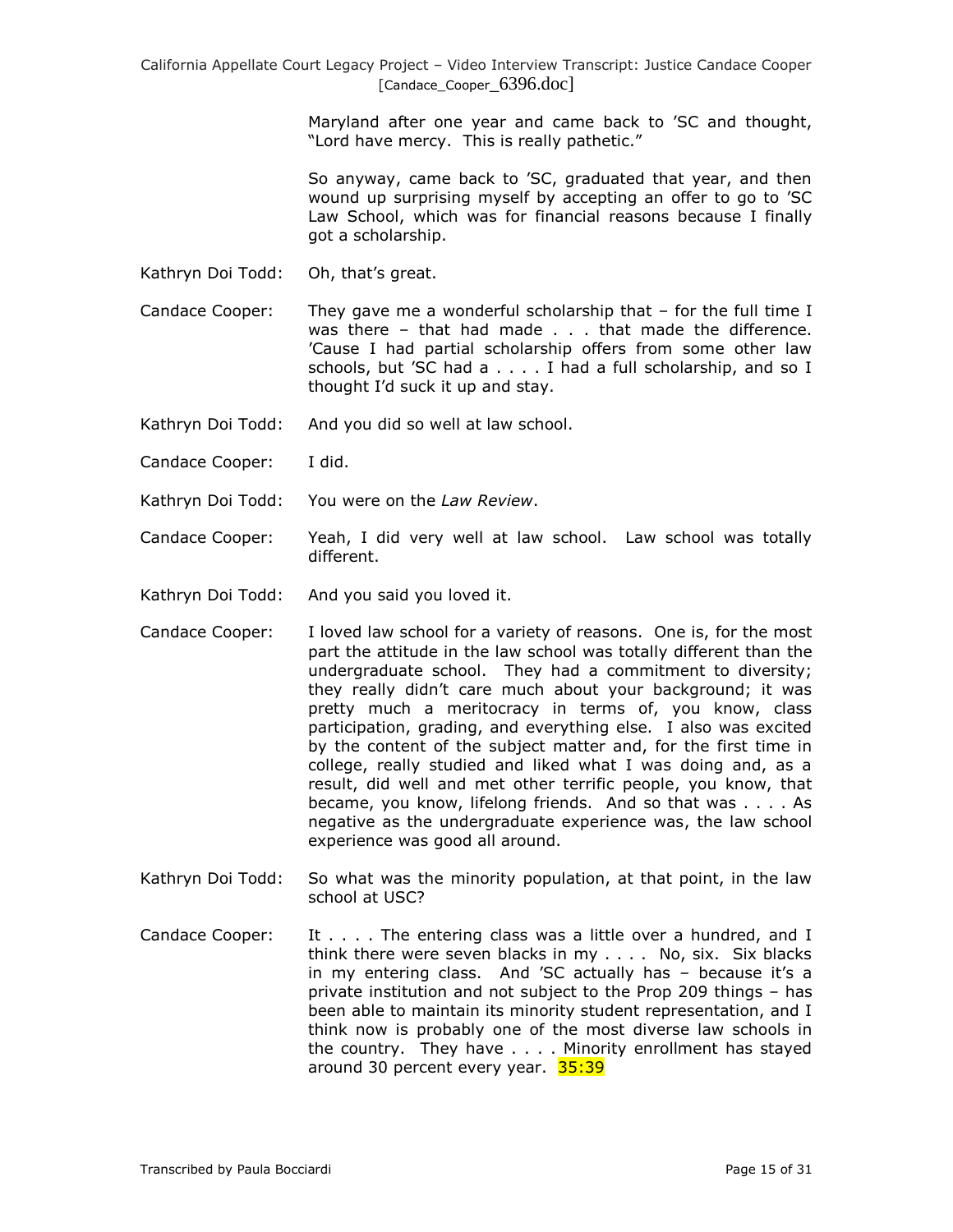Maryland after one year and came back to 'SC and thought, "Lord have mercy. This is really pathetic."

So anyway, came back to 'SC, graduated that year, and then wound up surprising myself by accepting an offer to go to 'SC Law School, which was for financial reasons because I finally got a scholarship.

Kathryn Doi Todd: Oh, that's great.

Candace Cooper: They gave me a wonderful scholarship that – for the full time I was there – that had made . . . that made the difference. 'Cause I had partial scholarship offers from some other law schools, but 'SC had a . . . . I had a full scholarship, and so I thought I'd suck it up and stay.

- Kathryn Doi Todd: And you did so well at law school.
- Candace Cooper: I did.
- Kathryn Doi Todd: You were on the *Law Review*.
- Candace Cooper: Yeah, I did very well at law school. Law school was totally different.
- Kathryn Doi Todd: And you said you loved it.
- Candace Cooper: I loved law school for a variety of reasons. One is, for the most part the attitude in the law school was totally different than the undergraduate school. They had a commitment to diversity; they really didn't care much about your background; it was pretty much a meritocracy in terms of, you know, class participation, grading, and everything else. I also was excited by the content of the subject matter and, for the first time in college, really studied and liked what I was doing and, as a result, did well and met other terrific people, you know, that became, you know, lifelong friends. And so that was . . . . As negative as the undergraduate experience was, the law school experience was good all around.
- Kathryn Doi Todd: So what was the minority population, at that point, in the law school at USC?
- Candace Cooper: It  $\dots$  . The entering class was a little over a hundred, and I think there were seven blacks in my . . . . No, six. Six blacks in my entering class. And 'SC actually has – because it's a private institution and not subject to the Prop 209 things – has been able to maintain its minority student representation, and I think now is probably one of the most diverse law schools in the country. They have . . . . Minority enrollment has stayed around 30 percent every year. 35:39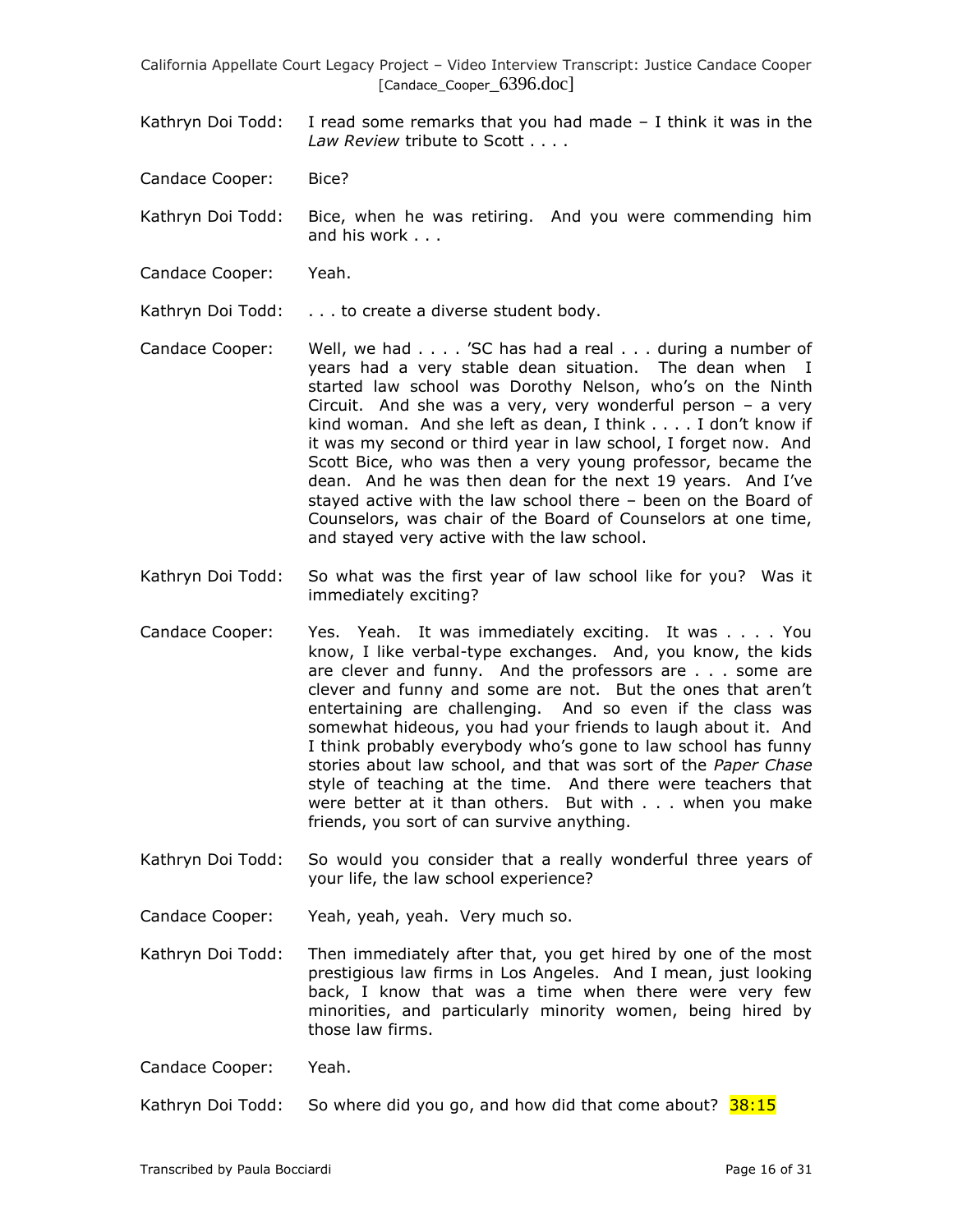- Kathryn Doi Todd: I read some remarks that you had made I think it was in the *Law Review* tribute to Scott . . . .
- Candace Cooper: Bice?
- Kathryn Doi Todd: Bice, when he was retiring. And you were commending him and his work . . .
- Candace Cooper: Yeah.
- Kathryn Doi Todd: . . . to create a diverse student body.
- Candace Cooper: Well, we had . . . . 'SC has had a real . . . during a number of years had a very stable dean situation. The dean when I started law school was Dorothy Nelson, who's on the Ninth Circuit. And she was a very, very wonderful person  $-$  a very kind woman. And she left as dean, I think . . . . I don't know if it was my second or third year in law school, I forget now. And Scott Bice, who was then a very young professor, became the dean. And he was then dean for the next 19 years. And I've stayed active with the law school there – been on the Board of Counselors, was chair of the Board of Counselors at one time, and stayed very active with the law school.
- Kathryn Doi Todd: So what was the first year of law school like for you? Was it immediately exciting?
- Candace Cooper: Yes. Yeah. It was immediately exciting. It was . . . . You know, I like verbal-type exchanges. And, you know, the kids are clever and funny. And the professors are . . . some are clever and funny and some are not. But the ones that aren't entertaining are challenging. And so even if the class was somewhat hideous, you had your friends to laugh about it. And I think probably everybody who's gone to law school has funny stories about law school, and that was sort of the *Paper Chase* style of teaching at the time. And there were teachers that were better at it than others. But with . . . when you make friends, you sort of can survive anything.
- Kathryn Doi Todd: So would you consider that a really wonderful three years of your life, the law school experience?
- Candace Cooper: Yeah, yeah, yeah. Very much so.
- Kathryn Doi Todd: Then immediately after that, you get hired by one of the most prestigious law firms in Los Angeles. And I mean, just looking back, I know that was a time when there were very few minorities, and particularly minority women, being hired by those law firms.

Candace Cooper: Yeah.

Kathryn Doi Todd: So where did you go, and how did that come about?  $38:15$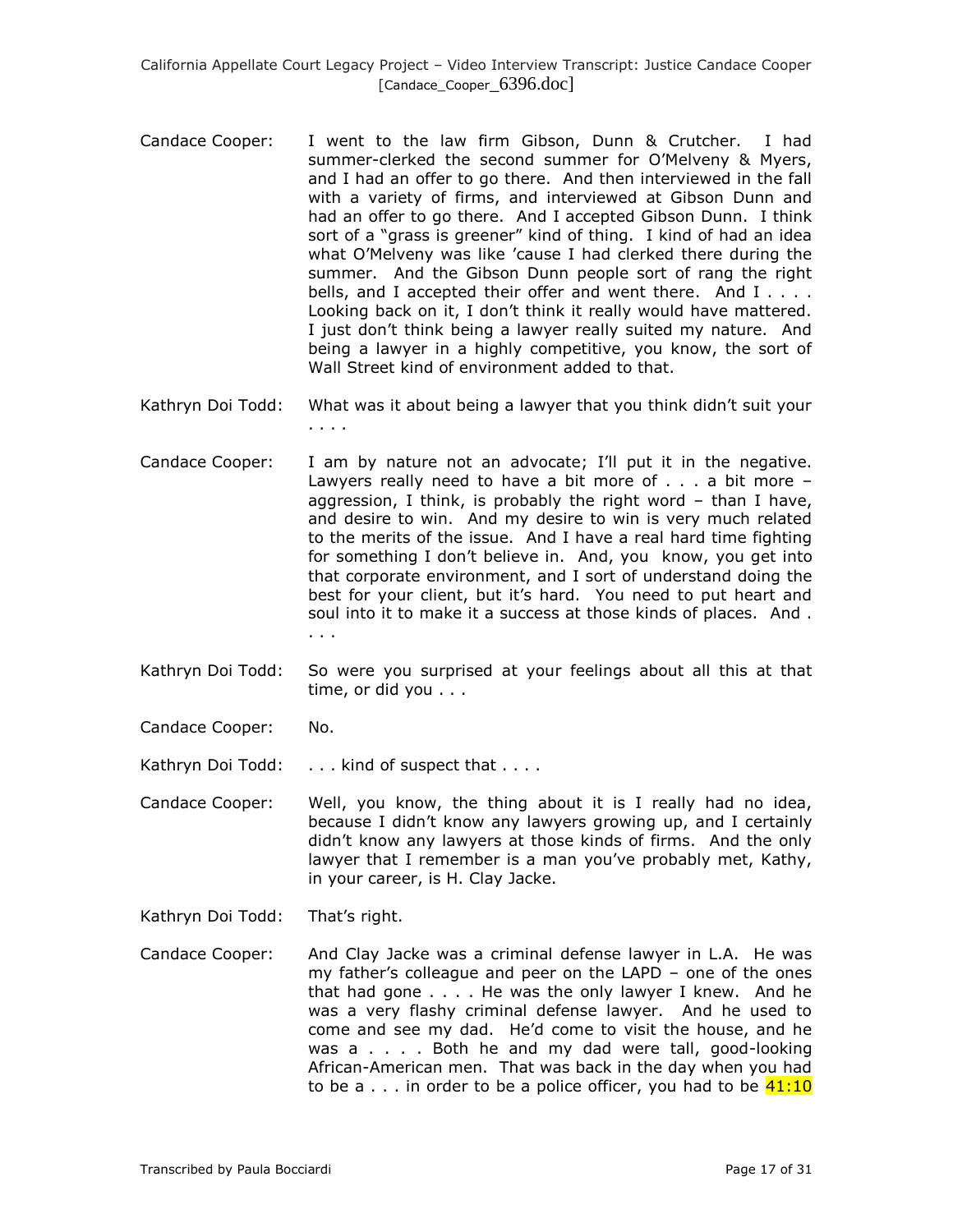- Candace Cooper: I went to the law firm Gibson, Dunn & Crutcher. I had summer-clerked the second summer for O'Melveny & Myers, and I had an offer to go there. And then interviewed in the fall with a variety of firms, and interviewed at Gibson Dunn and had an offer to go there. And I accepted Gibson Dunn. I think sort of a "grass is greener" kind of thing. I kind of had an idea what O'Melveny was like 'cause I had clerked there during the summer. And the Gibson Dunn people sort of rang the right bells, and I accepted their offer and went there. And I . . . . Looking back on it, I don't think it really would have mattered. I just don't think being a lawyer really suited my nature. And being a lawyer in a highly competitive, you know, the sort of Wall Street kind of environment added to that.
- Kathryn Doi Todd: What was it about being a lawyer that you think didn't suit your . . . .
- Candace Cooper: I am by nature not an advocate; I'll put it in the negative. Lawyers really need to have a bit more of  $\ldots$  a bit more  $$ aggression, I think, is probably the right word – than I have, and desire to win. And my desire to win is very much related to the merits of the issue. And I have a real hard time fighting for something I don't believe in. And, you know, you get into that corporate environment, and I sort of understand doing the best for your client, but it's hard. You need to put heart and soul into it to make it a success at those kinds of places. And . . . .
- Kathryn Doi Todd: So were you surprised at your feelings about all this at that time, or did you . . .
- Candace Cooper: No.
- Kathryn Doi Todd: . . . kind of suspect that . . . .
- Candace Cooper: Well, you know, the thing about it is I really had no idea, because I didn't know any lawyers growing up, and I certainly didn't know any lawyers at those kinds of firms. And the only lawyer that I remember is a man you've probably met, Kathy, in your career, is H. Clay Jacke.
- Kathryn Doi Todd: That's right.
- Candace Cooper: And Clay Jacke was a criminal defense lawyer in L.A. He was my father's colleague and peer on the LAPD – one of the ones that had gone . . . . He was the only lawyer I knew. And he was a very flashy criminal defense lawyer. And he used to come and see my dad. He'd come to visit the house, and he was a . . . . Both he and my dad were tall, good-looking African-American men. That was back in the day when you had to be a  $\dots$  in order to be a police officer, you had to be  $41:10$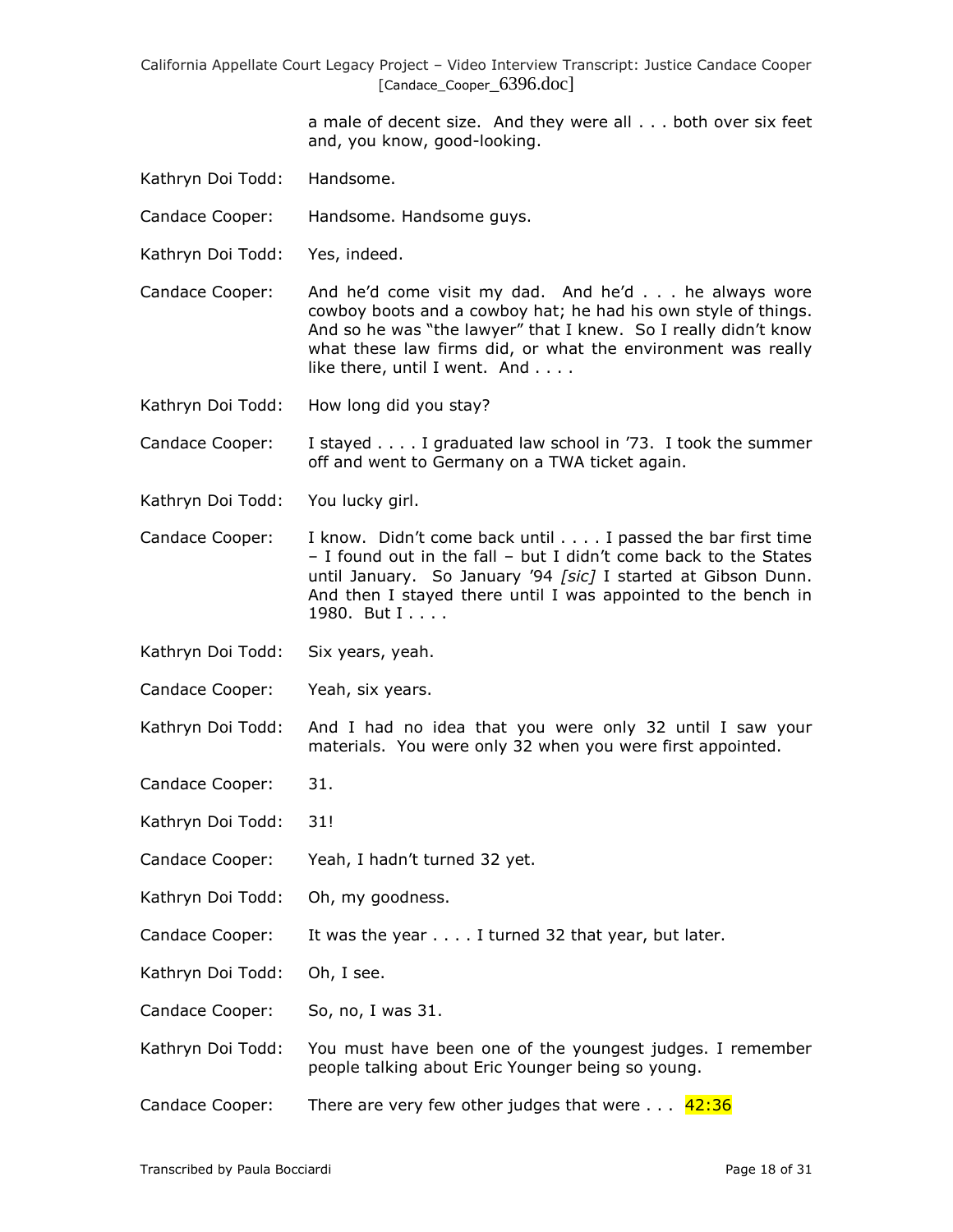> a male of decent size. And they were all . . . both over six feet and, you know, good-looking.

Kathryn Doi Todd: Handsome.

Candace Cooper: Handsome. Handsome guys.

Kathryn Doi Todd: Yes, indeed.

Candace Cooper: And he'd come visit my dad. And he'd . . . he always wore cowboy boots and a cowboy hat; he had his own style of things. And so he was "the lawyer" that I knew. So I really didn't know what these law firms did, or what the environment was really like there, until I went. And . . . .

Kathryn Doi Todd: How long did you stay?

Candace Cooper: I stayed . . . . I graduated law school in '73. I took the summer off and went to Germany on a TWA ticket again.

- Kathryn Doi Todd: You lucky girl.
- Candace Cooper: I know. Didn't come back until . . . . I passed the bar first time – I found out in the fall – but I didn't come back to the States until January. So January '94 *[sic]* I started at Gibson Dunn. And then I stayed there until I was appointed to the bench in 1980. But I . . . .
- Kathryn Doi Todd: Six years, yeah.
- Candace Cooper: Yeah, six years.

Kathryn Doi Todd: And I had no idea that you were only 32 until I saw your materials. You were only 32 when you were first appointed.

- Candace Cooper: 31.
- Kathryn Doi Todd: 31!
- Candace Cooper: Yeah, I hadn't turned 32 yet.
- Kathryn Doi Todd: Oh, my goodness.
- Candace Cooper: It was the year . . . . I turned 32 that year, but later.

Kathryn Doi Todd: Oh, I see.

Candace Cooper: So, no, I was 31.

- Kathryn Doi Todd: You must have been one of the youngest judges. I remember people talking about Eric Younger being so young.
- Candace Cooper: There are very few other judges that were  $\dots$  42:36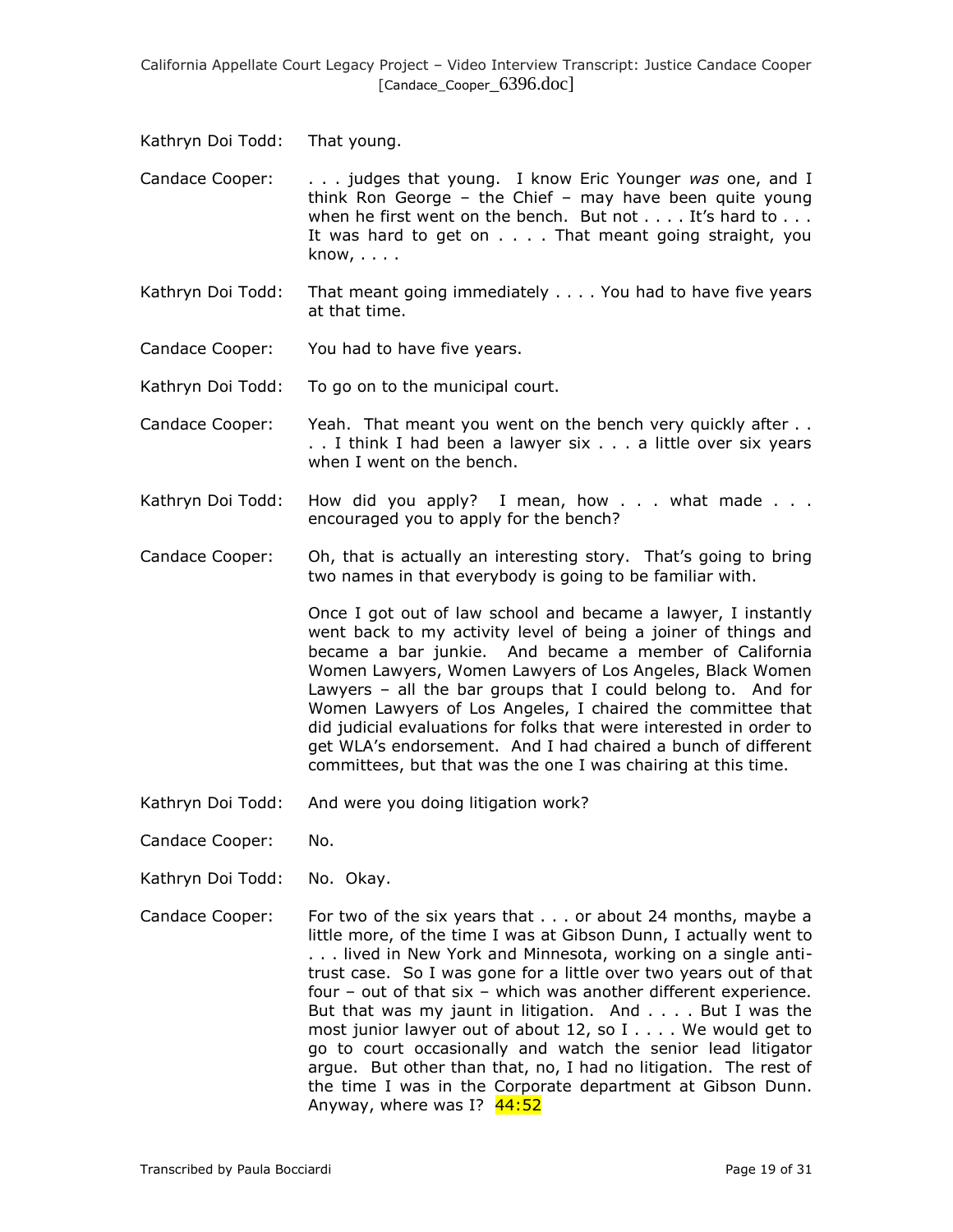Kathryn Doi Todd: That young.

Candace Cooper: . . . judges that young. I know Eric Younger *was* one, and I think Ron George – the Chief – may have been quite young when he first went on the bench. But not  $\dots$  . It's hard to  $\dots$ It was hard to get on . . . . That meant going straight, you know, . . . .

- Kathryn Doi Todd: That meant going immediately . . . . You had to have five years at that time.
- Candace Cooper: You had to have five years.

Kathryn Doi Todd: To go on to the municipal court.

- Candace Cooper: Yeah. That meant you went on the bench very quickly after . . . . I think I had been a lawyer six . . . a little over six years when I went on the bench.
- Kathryn Doi Todd: How did you apply? I mean, how . . . what made . . . encouraged you to apply for the bench?
- Candace Cooper: Oh, that is actually an interesting story. That's going to bring two names in that everybody is going to be familiar with.

Once I got out of law school and became a lawyer, I instantly went back to my activity level of being a joiner of things and became a bar junkie. And became a member of California Women Lawyers, Women Lawyers of Los Angeles, Black Women Lawyers – all the bar groups that I could belong to. And for Women Lawyers of Los Angeles, I chaired the committee that did judicial evaluations for folks that were interested in order to get WLA's endorsement. And I had chaired a bunch of different committees, but that was the one I was chairing at this time.

- Kathryn Doi Todd: And were you doing litigation work?
- Candace Cooper: No.
- Kathryn Doi Todd: No. Okay.
- Candace Cooper: For two of the six years that . . . or about 24 months, maybe a little more, of the time I was at Gibson Dunn, I actually went to . . . lived in New York and Minnesota, working on a single antitrust case. So I was gone for a little over two years out of that four – out of that six – which was another different experience. But that was my jaunt in litigation. And . . . . But I was the most junior lawyer out of about 12, so I . . . . We would get to go to court occasionally and watch the senior lead litigator argue. But other than that, no, I had no litigation. The rest of the time I was in the Corporate department at Gibson Dunn. Anyway, where was I? 44:52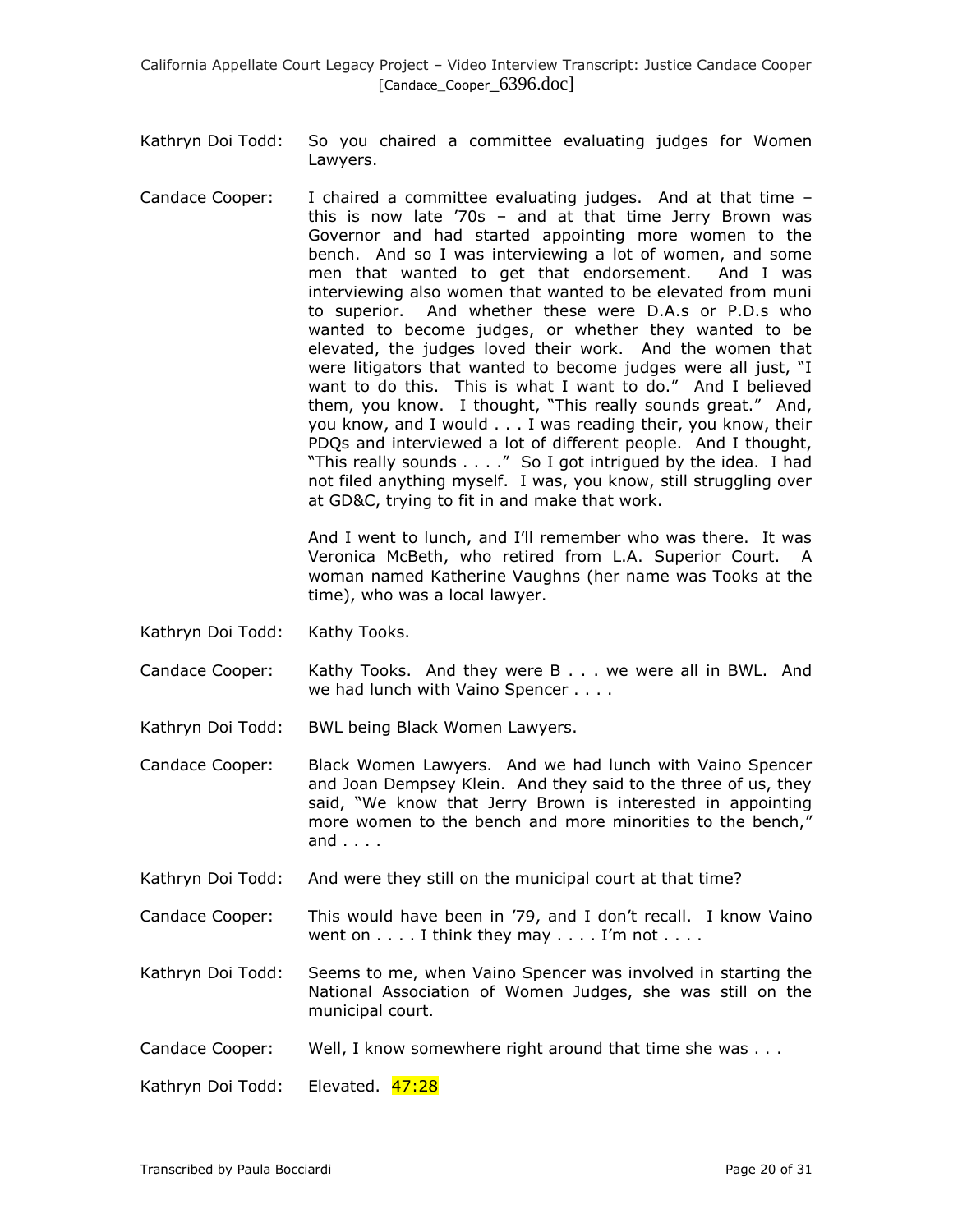- Kathryn Doi Todd: So you chaired a committee evaluating judges for Women Lawyers.
- Candace Cooper: I chaired a committee evaluating judges. And at that time this is now late '70s – and at that time Jerry Brown was Governor and had started appointing more women to the bench. And so I was interviewing a lot of women, and some men that wanted to get that endorsement. And I was interviewing also women that wanted to be elevated from muni to superior. And whether these were D.A.s or P.D.s who wanted to become judges, or whether they wanted to be elevated, the judges loved their work. And the women that were litigators that wanted to become judges were all just, "I want to do this. This is what I want to do." And I believed them, you know. I thought, "This really sounds great." And, you know, and I would . . . I was reading their, you know, their PDQs and interviewed a lot of different people. And I thought, "This really sounds . . . ." So I got intrigued by the idea. I had not filed anything myself. I was, you know, still struggling over at GD&C, trying to fit in and make that work.

And I went to lunch, and I'll remember who was there. It was Veronica McBeth, who retired from L.A. Superior Court. A woman named Katherine Vaughns (her name was Tooks at the time), who was a local lawyer.

- Kathryn Doi Todd: Kathy Tooks.
- Candace Cooper: Kathy Tooks. And they were B . . . we were all in BWL. And we had lunch with Vaino Spencer . . . .
- Kathryn Doi Todd: BWL being Black Women Lawyers.
- Candace Cooper: Black Women Lawyers. And we had lunch with Vaino Spencer and Joan Dempsey Klein. And they said to the three of us, they said, "We know that Jerry Brown is interested in appointing more women to the bench and more minorities to the bench," and . . . .
- Kathryn Doi Todd: And were they still on the municipal court at that time?
- Candace Cooper: This would have been in '79, and I don't recall. I know Vaino went on  $\dots$ . I think they may  $\dots$ . I'm not  $\dots$ .
- Kathryn Doi Todd: Seems to me, when Vaino Spencer was involved in starting the National Association of Women Judges, she was still on the municipal court.
- Candace Cooper: Well, I know somewhere right around that time she was . . .

Kathryn Doi Todd: Elevated. 47:28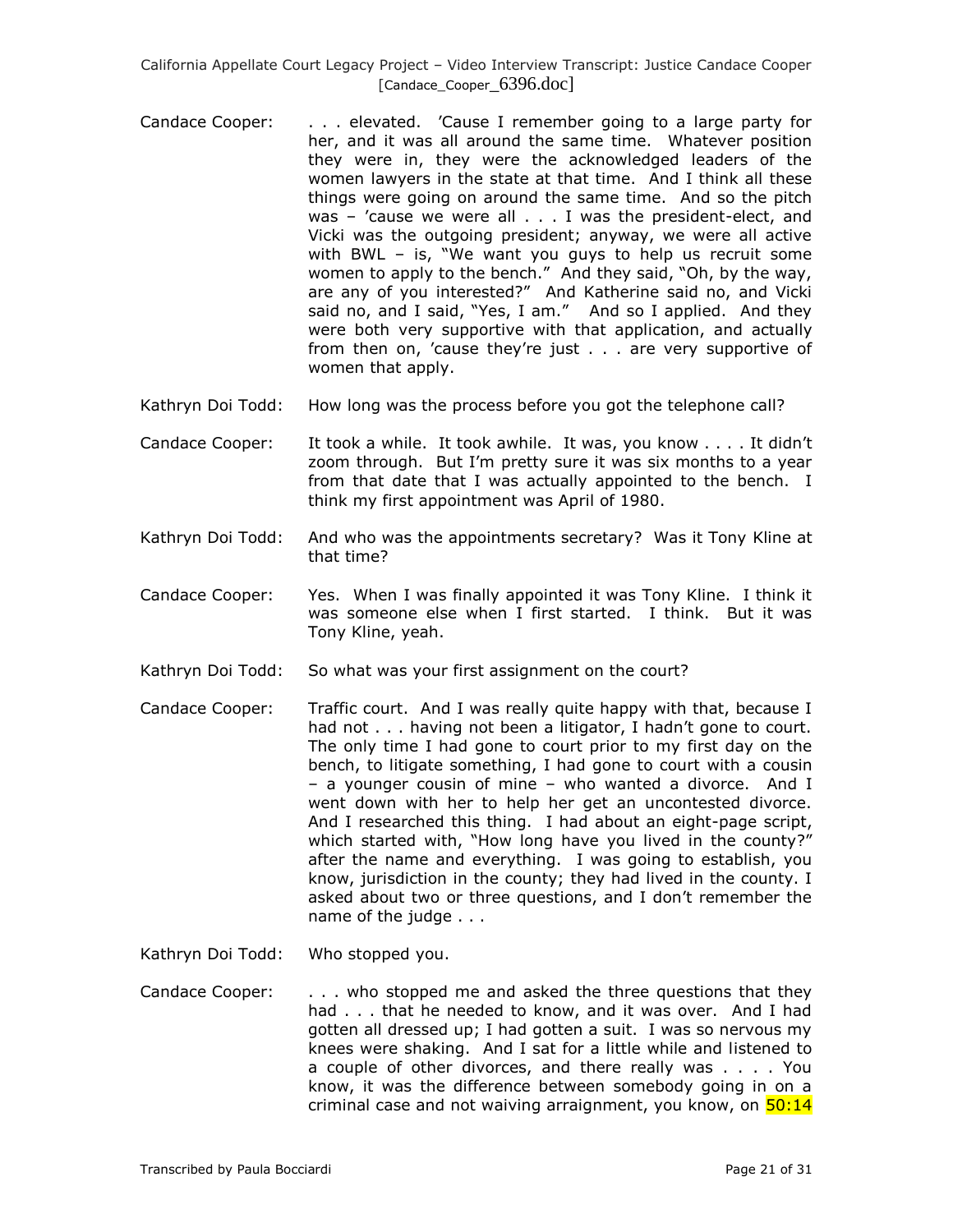- Candace Cooper: . . . elevated. 'Cause I remember going to a large party for her, and it was all around the same time. Whatever position they were in, they were the acknowledged leaders of the women lawyers in the state at that time. And I think all these things were going on around the same time. And so the pitch was - 'cause we were all . . . I was the president-elect, and Vicki was the outgoing president; anyway, we were all active with BWL – is, "We want you guys to help us recruit some women to apply to the bench." And they said, "Oh, by the way, are any of you interested?" And Katherine said no, and Vicki said no, and I said, "Yes, I am." And so I applied. And they were both very supportive with that application, and actually from then on, 'cause they're just . . . are very supportive of women that apply.
- Kathryn Doi Todd: How long was the process before you got the telephone call?
- Candace Cooper: It took a while. It took awhile. It was, you know . . . . It didn't zoom through. But I'm pretty sure it was six months to a year from that date that I was actually appointed to the bench. I think my first appointment was April of 1980.
- Kathryn Doi Todd: And who was the appointments secretary? Was it Tony Kline at that time?
- Candace Cooper: Yes. When I was finally appointed it was Tony Kline. I think it was someone else when I first started. I think. But it was Tony Kline, yeah.
- Kathryn Doi Todd: So what was your first assignment on the court?
- Candace Cooper: Traffic court. And I was really quite happy with that, because I had not . . . having not been a litigator, I hadn't gone to court. The only time I had gone to court prior to my first day on the bench, to litigate something, I had gone to court with a cousin – a younger cousin of mine – who wanted a divorce. And I went down with her to help her get an uncontested divorce. And I researched this thing. I had about an eight-page script, which started with, "How long have you lived in the county?" after the name and everything. I was going to establish, you know, jurisdiction in the county; they had lived in the county. I asked about two or three questions, and I don't remember the name of the judge . . .
- Kathryn Doi Todd: Who stopped you.
- Candace Cooper: . . . . who stopped me and asked the three questions that they had . . . that he needed to know, and it was over. And I had gotten all dressed up; I had gotten a suit. I was so nervous my knees were shaking. And I sat for a little while and listened to a couple of other divorces, and there really was . . . . You know, it was the difference between somebody going in on a criminal case and not waiving arraignment, you know, on  $\overline{50:14}$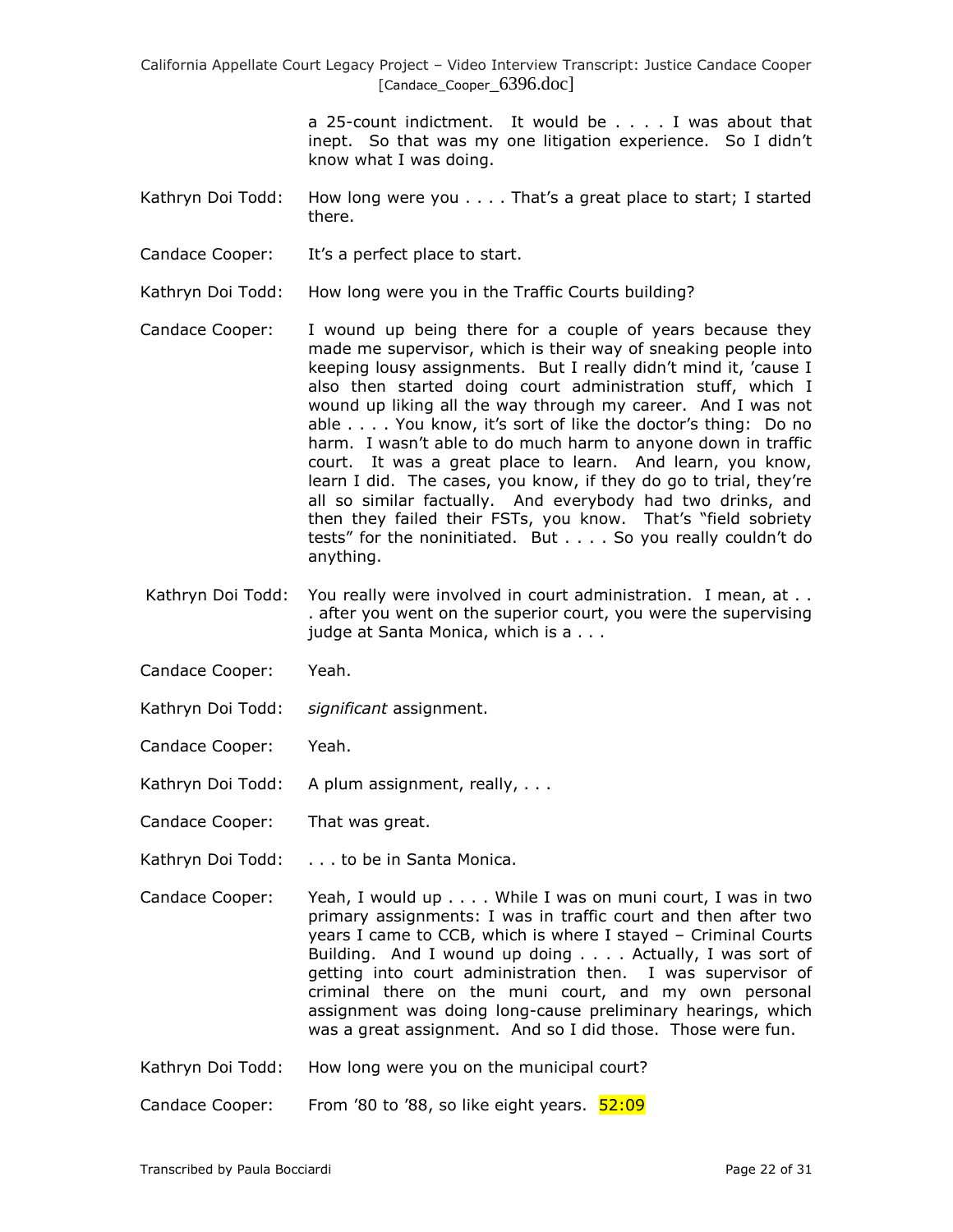> a 25-count indictment. It would be . . . . I was about that inept. So that was my one litigation experience. So I didn't know what I was doing.

- Kathryn Doi Todd: How long were you . . . . That's a great place to start; I started there.
- Candace Cooper: It's a perfect place to start.
- Kathryn Doi Todd: How long were you in the Traffic Courts building?
- Candace Cooper: I wound up being there for a couple of years because they made me supervisor, which is their way of sneaking people into keeping lousy assignments. But I really didn't mind it, 'cause I also then started doing court administration stuff, which I wound up liking all the way through my career. And I was not able . . . . You know, it's sort of like the doctor's thing: Do no harm. I wasn't able to do much harm to anyone down in traffic court. It was a great place to learn. And learn, you know, learn I did. The cases, you know, if they do go to trial, they're all so similar factually. And everybody had two drinks, and then they failed their FSTs, you know. That's "field sobriety tests" for the noninitiated. But . . . . So you really couldn't do anything.
- Kathryn Doi Todd: You really were involved in court administration. I mean, at . . . after you went on the superior court, you were the supervising judge at Santa Monica, which is a . . .
- Candace Cooper: Yeah.
- Kathryn Doi Todd: *significant* assignment.
- Candace Cooper: Yeah.
- Kathryn Doi Todd: A plum assignment, really, . . .
- Candace Cooper: That was great.
- Kathryn Doi Todd: . . . to be in Santa Monica.
- Candace Cooper: Yeah, I would up . . . . While I was on muni court, I was in two primary assignments: I was in traffic court and then after two years I came to CCB, which is where I stayed – Criminal Courts Building. And I wound up doing . . . . Actually, I was sort of getting into court administration then. I was supervisor of criminal there on the muni court, and my own personal assignment was doing long-cause preliminary hearings, which was a great assignment. And so I did those. Those were fun.
- Kathryn Doi Todd: How long were you on the municipal court?

Candace Cooper: From '80 to '88, so like eight years. 52:09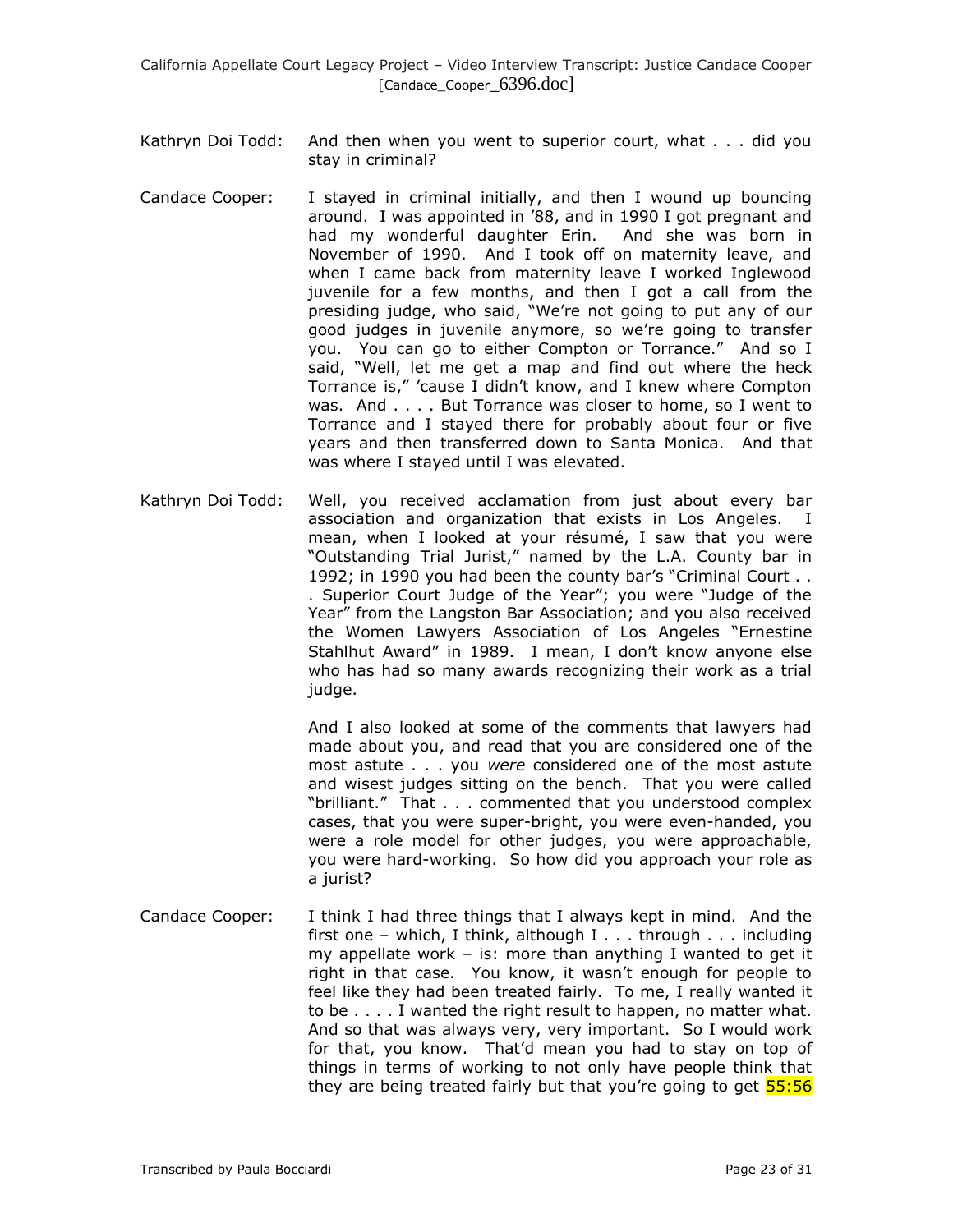- Kathryn Doi Todd: And then when you went to superior court, what . . . did you stay in criminal?
- Candace Cooper: I stayed in criminal initially, and then I wound up bouncing around. I was appointed in '88, and in 1990 I got pregnant and had my wonderful daughter Erin. And she was born in November of 1990. And I took off on maternity leave, and when I came back from maternity leave I worked Inglewood juvenile for a few months, and then I got a call from the presiding judge, who said, "We're not going to put any of our good judges in juvenile anymore, so we're going to transfer you. You can go to either Compton or Torrance." And so I said, "Well, let me get a map and find out where the heck Torrance is," 'cause I didn't know, and I knew where Compton was. And . . . . But Torrance was closer to home, so I went to Torrance and I stayed there for probably about four or five years and then transferred down to Santa Monica. And that was where I stayed until I was elevated.
- Kathryn Doi Todd: Well, you received acclamation from just about every bar association and organization that exists in Los Angeles. I mean, when I looked at your résumé, I saw that you were "Outstanding Trial Jurist," named by the L.A. County bar in 1992; in 1990 you had been the county bar's "Criminal Court . . . Superior Court Judge of the Year"; you were "Judge of the Year" from the Langston Bar Association; and you also received the Women Lawyers Association of Los Angeles "Ernestine Stahlhut Award" in 1989. I mean, I don't know anyone else who has had so many awards recognizing their work as a trial judge.

And I also looked at some of the comments that lawyers had made about you, and read that you are considered one of the most astute . . . you *were* considered one of the most astute and wisest judges sitting on the bench. That you were called "brilliant." That . . . commented that you understood complex cases, that you were super-bright, you were even-handed, you were a role model for other judges, you were approachable, you were hard-working. So how did you approach your role as a jurist?

Candace Cooper: I think I had three things that I always kept in mind. And the first one – which, I think, although  $I \ldots$  through  $\ldots$  including my appellate work  $-$  is: more than anything I wanted to get it right in that case. You know, it wasn't enough for people to feel like they had been treated fairly. To me, I really wanted it to be . . . . I wanted the right result to happen, no matter what. And so that was always very, very important. So I would work for that, you know. That'd mean you had to stay on top of things in terms of working to not only have people think that they are being treated fairly but that you're going to get **55:56**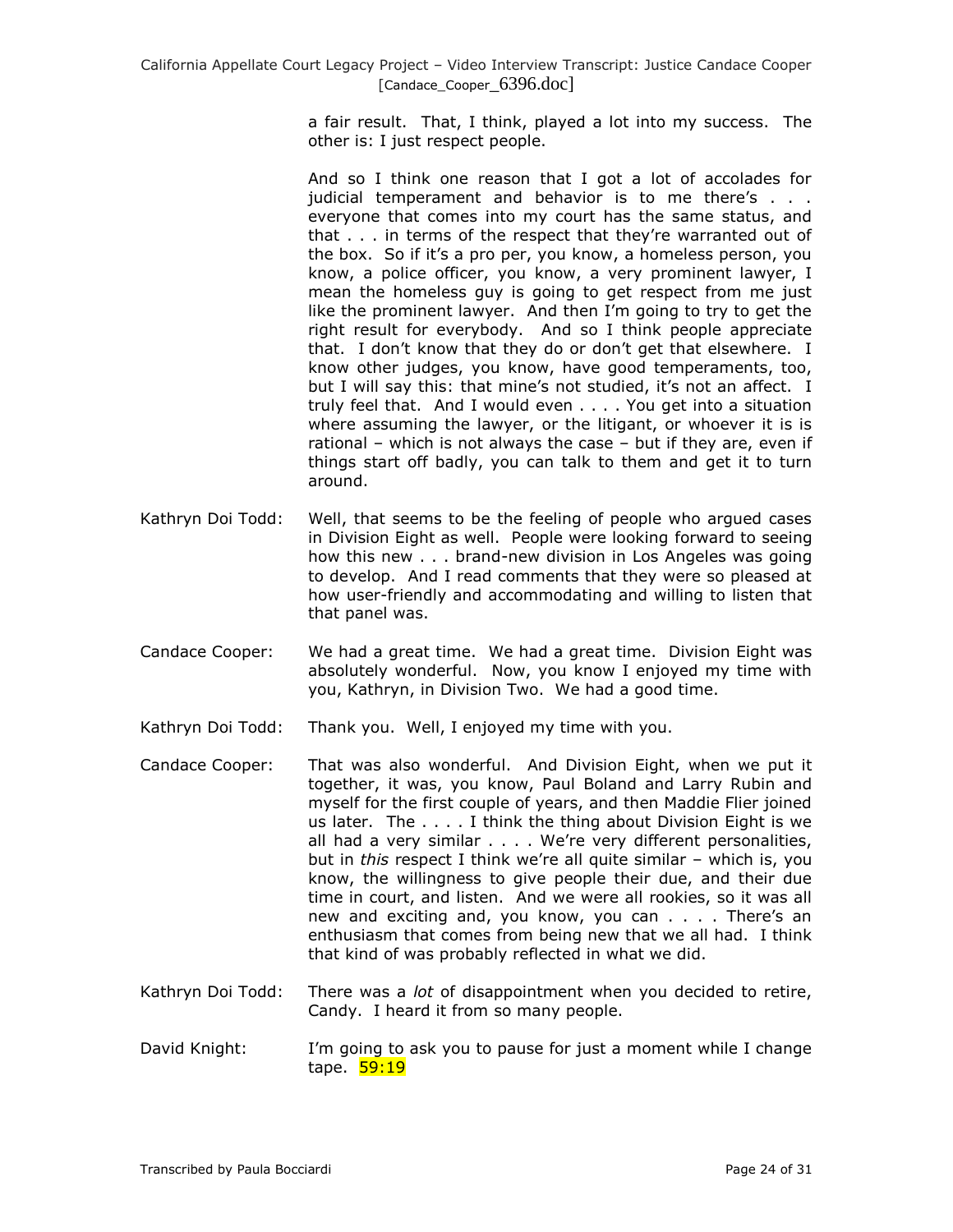> a fair result. That, I think, played a lot into my success. The other is: I just respect people.

> And so I think one reason that I got a lot of accolades for judicial temperament and behavior is to me there's . . . everyone that comes into my court has the same status, and that . . . in terms of the respect that they're warranted out of the box. So if it's a pro per, you know, a homeless person, you know, a police officer, you know, a very prominent lawyer, I mean the homeless guy is going to get respect from me just like the prominent lawyer. And then I'm going to try to get the right result for everybody. And so I think people appreciate that. I don't know that they do or don't get that elsewhere. I know other judges, you know, have good temperaments, too, but I will say this: that mine's not studied, it's not an affect. I truly feel that. And I would even . . . . You get into a situation where assuming the lawyer, or the litigant, or whoever it is is rational – which is not always the case – but if they are, even if things start off badly, you can talk to them and get it to turn around.

- Kathryn Doi Todd: Well, that seems to be the feeling of people who argued cases in Division Eight as well. People were looking forward to seeing how this new . . . brand-new division in Los Angeles was going to develop. And I read comments that they were so pleased at how user-friendly and accommodating and willing to listen that that panel was.
- Candace Cooper: We had a great time. We had a great time. Division Eight was absolutely wonderful. Now, you know I enjoyed my time with you, Kathryn, in Division Two. We had a good time.
- Kathryn Doi Todd: Thank you. Well, I enjoyed my time with you.
- Candace Cooper: That was also wonderful. And Division Eight, when we put it together, it was, you know, Paul Boland and Larry Rubin and myself for the first couple of years, and then Maddie Flier joined us later. The . . . . I think the thing about Division Eight is we all had a very similar . . . . We're very different personalities, but in *this* respect I think we're all quite similar – which is, you know, the willingness to give people their due, and their due time in court, and listen. And we were all rookies, so it was all new and exciting and, you know, you can . . . . There's an enthusiasm that comes from being new that we all had. I think that kind of was probably reflected in what we did.
- Kathryn Doi Todd: There was a *lot* of disappointment when you decided to retire, Candy. I heard it from so many people.

David Knight: I'm going to ask you to pause for just a moment while I change tape. 59:19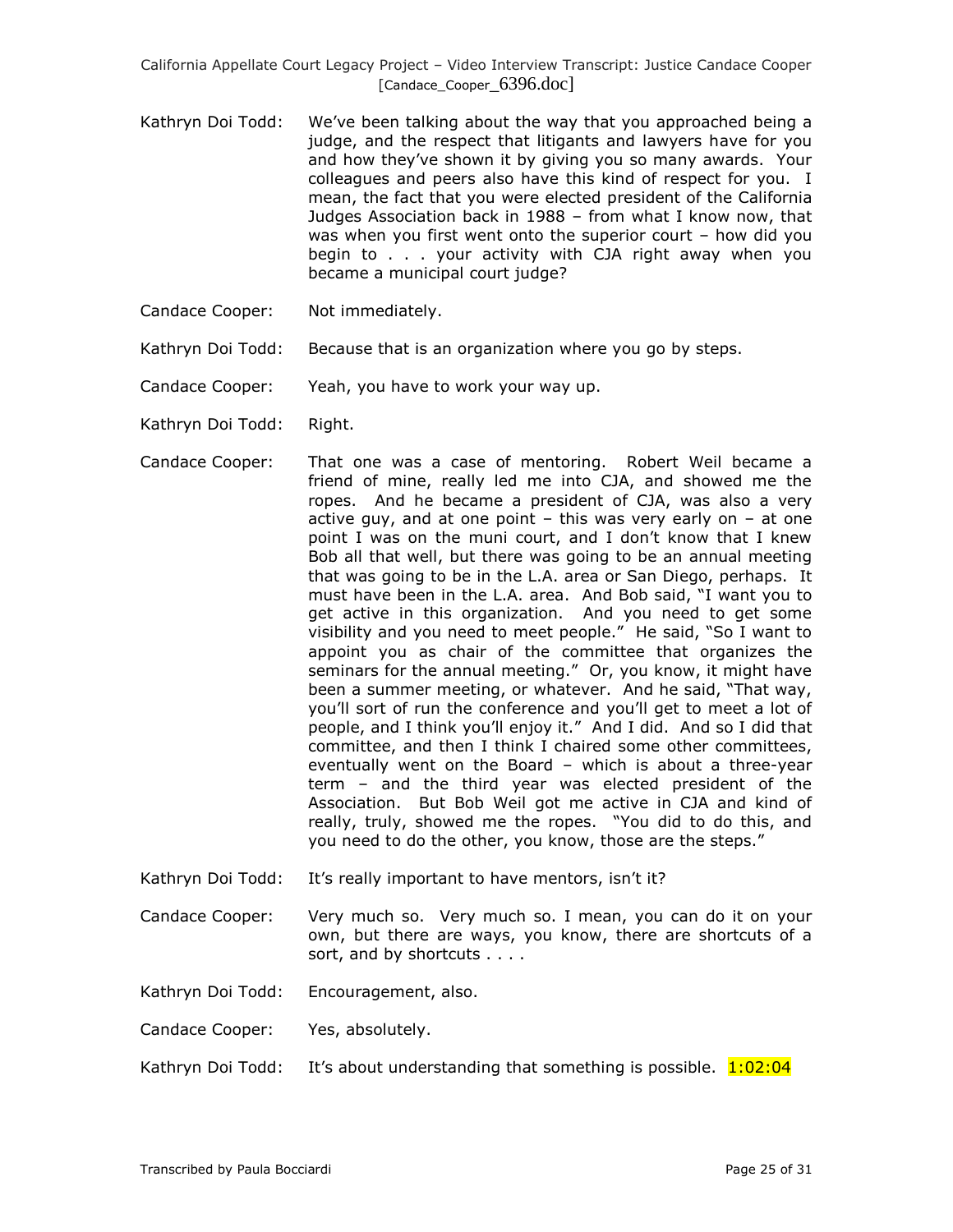- Kathryn Doi Todd: We've been talking about the way that you approached being a judge, and the respect that litigants and lawyers have for you and how they've shown it by giving you so many awards. Your colleagues and peers also have this kind of respect for you. I mean, the fact that you were elected president of the California Judges Association back in 1988 – from what I know now, that was when you first went onto the superior court – how did you begin to . . . your activity with CJA right away when you became a municipal court judge?
- Candace Cooper: Not immediately.
- Kathryn Doi Todd: Because that is an organization where you go by steps.
- Candace Cooper: Yeah, you have to work your way up.
- Kathryn Doi Todd: Right.
- Candace Cooper: That one was a case of mentoring. Robert Weil became a friend of mine, really led me into CJA, and showed me the ropes. And he became a president of CJA, was also a very active guy, and at one point  $-$  this was very early on  $-$  at one point I was on the muni court, and I don't know that I knew Bob all that well, but there was going to be an annual meeting that was going to be in the L.A. area or San Diego, perhaps. It must have been in the L.A. area. And Bob said, "I want you to get active in this organization. And you need to get some visibility and you need to meet people." He said, "So I want to appoint you as chair of the committee that organizes the seminars for the annual meeting." Or, you know, it might have been a summer meeting, or whatever. And he said, "That way, you'll sort of run the conference and you'll get to meet a lot of people, and I think you'll enjoy it." And I did. And so I did that committee, and then I think I chaired some other committees, eventually went on the Board – which is about a three-year term – and the third year was elected president of the Association. But Bob Weil got me active in CJA and kind of really, truly, showed me the ropes. "You did to do this, and you need to do the other, you know, those are the steps."
- Kathryn Doi Todd: It's really important to have mentors, isn't it?
- Candace Cooper: Very much so. Very much so. I mean, you can do it on your own, but there are ways, you know, there are shortcuts of a sort, and by shortcuts . . . .
- Kathryn Doi Todd: Encouragement, also.
- Candace Cooper: Yes, absolutely.
- Kathryn Doi Todd: It's about understanding that something is possible.  $1:02:04$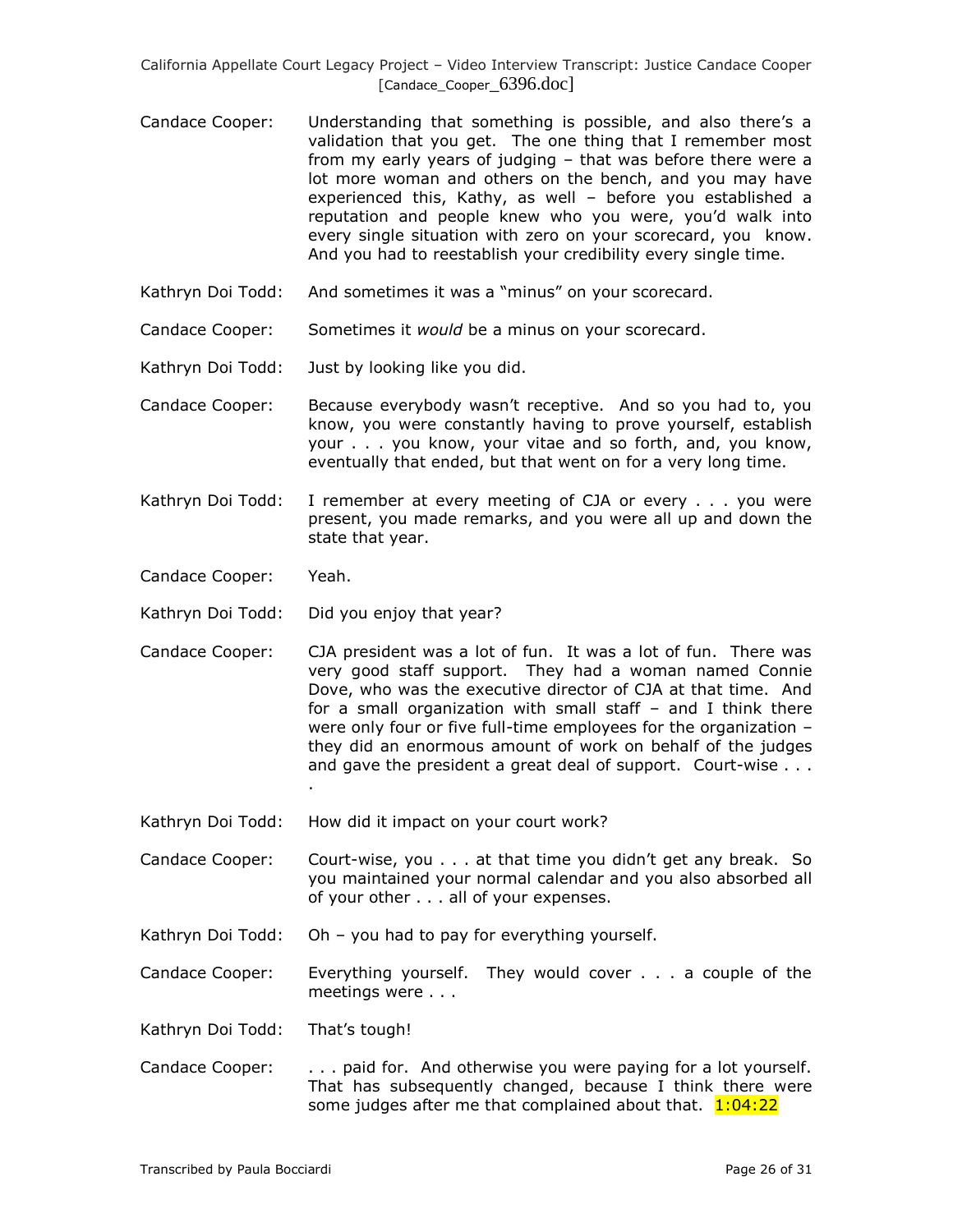- Candace Cooper: Understanding that something is possible, and also there's a validation that you get. The one thing that I remember most from my early years of judging – that was before there were a lot more woman and others on the bench, and you may have experienced this, Kathy, as well – before you established a reputation and people knew who you were, you'd walk into every single situation with zero on your scorecard, you know. And you had to reestablish your credibility every single time.
- Kathryn Doi Todd: And sometimes it was a "minus" on your scorecard.
- Candace Cooper: Sometimes it *would* be a minus on your scorecard.
- Kathryn Doi Todd: Just by looking like you did.
- Candace Cooper: Because everybody wasn't receptive. And so you had to, you know, you were constantly having to prove yourself, establish your . . . you know, your vitae and so forth, and, you know, eventually that ended, but that went on for a very long time.
- Kathryn Doi Todd: I remember at every meeting of CJA or every . . . you were present, you made remarks, and you were all up and down the state that year.
- Candace Cooper: Yeah.
- Kathryn Doi Todd: Did you enjoy that year?

.

- Candace Cooper: CJA president was a lot of fun. It was a lot of fun. There was very good staff support. They had a woman named Connie Dove, who was the executive director of CJA at that time. And for a small organization with small staff – and I think there were only four or five full-time employees for the organization – they did an enormous amount of work on behalf of the judges and gave the president a great deal of support. Court-wise . . .
- Kathryn Doi Todd: How did it impact on your court work?
- Candace Cooper: Court-wise, you . . . at that time you didn't get any break. So you maintained your normal calendar and you also absorbed all of your other . . . all of your expenses.
- Kathryn Doi Todd: Oh you had to pay for everything yourself.
- Candace Cooper: Everything yourself. They would cover . . . a couple of the meetings were . . .
- Kathryn Doi Todd: That's tough!
- Candace Cooper: . . . paid for. And otherwise you were paying for a lot yourself. That has subsequently changed, because I think there were some judges after me that complained about that.  $1:04:22$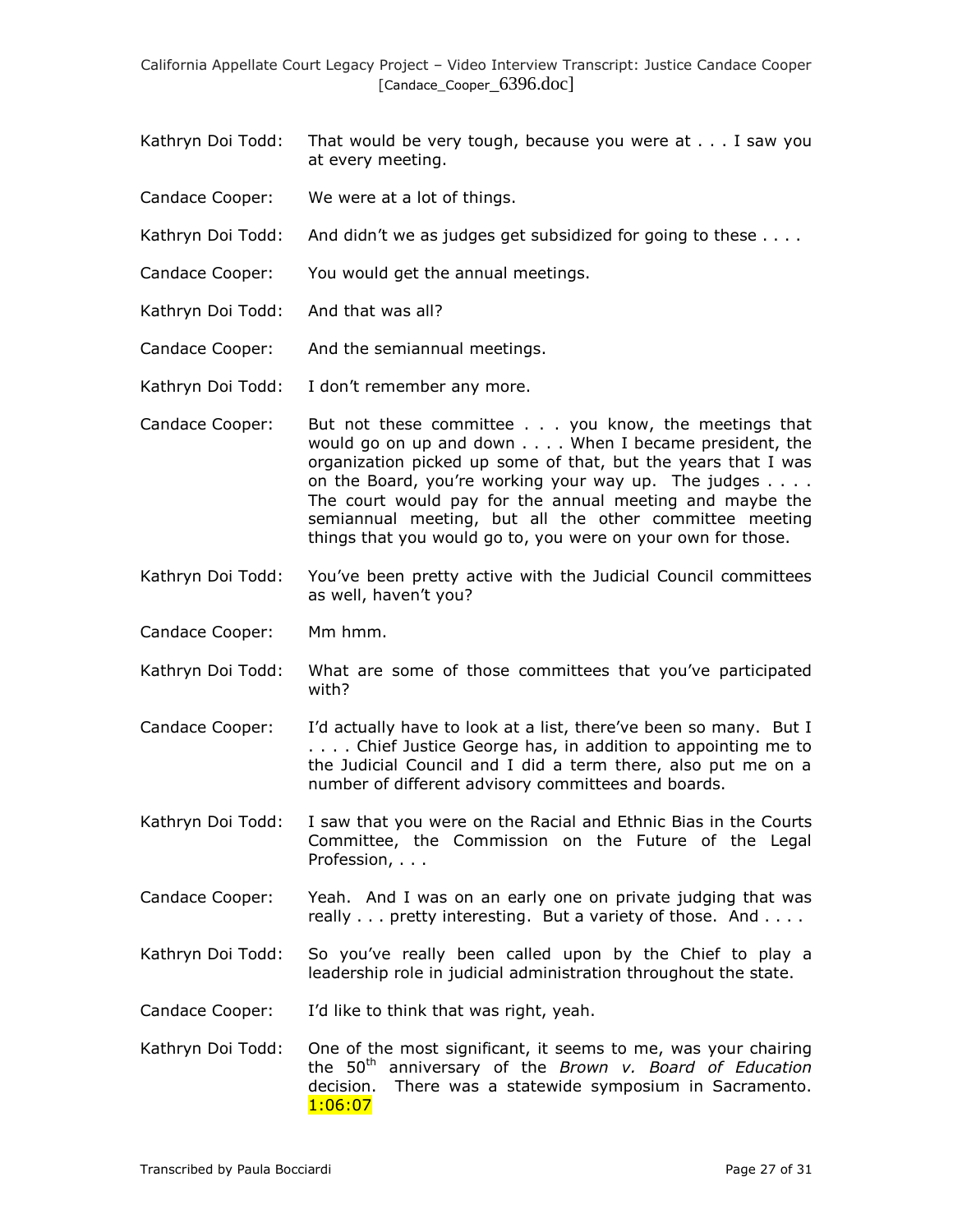- Kathryn Doi Todd: That would be very tough, because you were at . . . I saw you at every meeting.
- Candace Cooper: We were at a lot of things.
- Kathryn Doi Todd: And didn't we as judges get subsidized for going to these . . . .
- Candace Cooper: You would get the annual meetings.
- Kathryn Doi Todd: And that was all?
- Candace Cooper: And the semiannual meetings.
- Kathryn Doi Todd: I don't remember any more.
- Candace Cooper: But not these committee . . . you know, the meetings that would go on up and down . . . . When I became president, the organization picked up some of that, but the years that I was on the Board, you're working your way up. The judges . . . . The court would pay for the annual meeting and maybe the semiannual meeting, but all the other committee meeting things that you would go to, you were on your own for those.
- Kathryn Doi Todd: You've been pretty active with the Judicial Council committees as well, haven't you?
- Candace Cooper: Mm hmm.
- Kathryn Doi Todd: What are some of those committees that you've participated with?
- Candace Cooper: I'd actually have to look at a list, there've been so many. But I . . . . Chief Justice George has, in addition to appointing me to the Judicial Council and I did a term there, also put me on a number of different advisory committees and boards.
- Kathryn Doi Todd: I saw that you were on the Racial and Ethnic Bias in the Courts Committee, the Commission on the Future of the Legal Profession, . . .
- Candace Cooper: Yeah. And I was on an early one on private judging that was really . . . pretty interesting. But a variety of those. And . . . .
- Kathryn Doi Todd: So you've really been called upon by the Chief to play a leadership role in judicial administration throughout the state.
- Candace Cooper: I'd like to think that was right, yeah.
- Kathryn Doi Todd: One of the most significant, it seems to me, was your chairing the 50th anniversary of the *Brown v. Board of Education*  decision. There was a statewide symposium in Sacramento. 1:06:07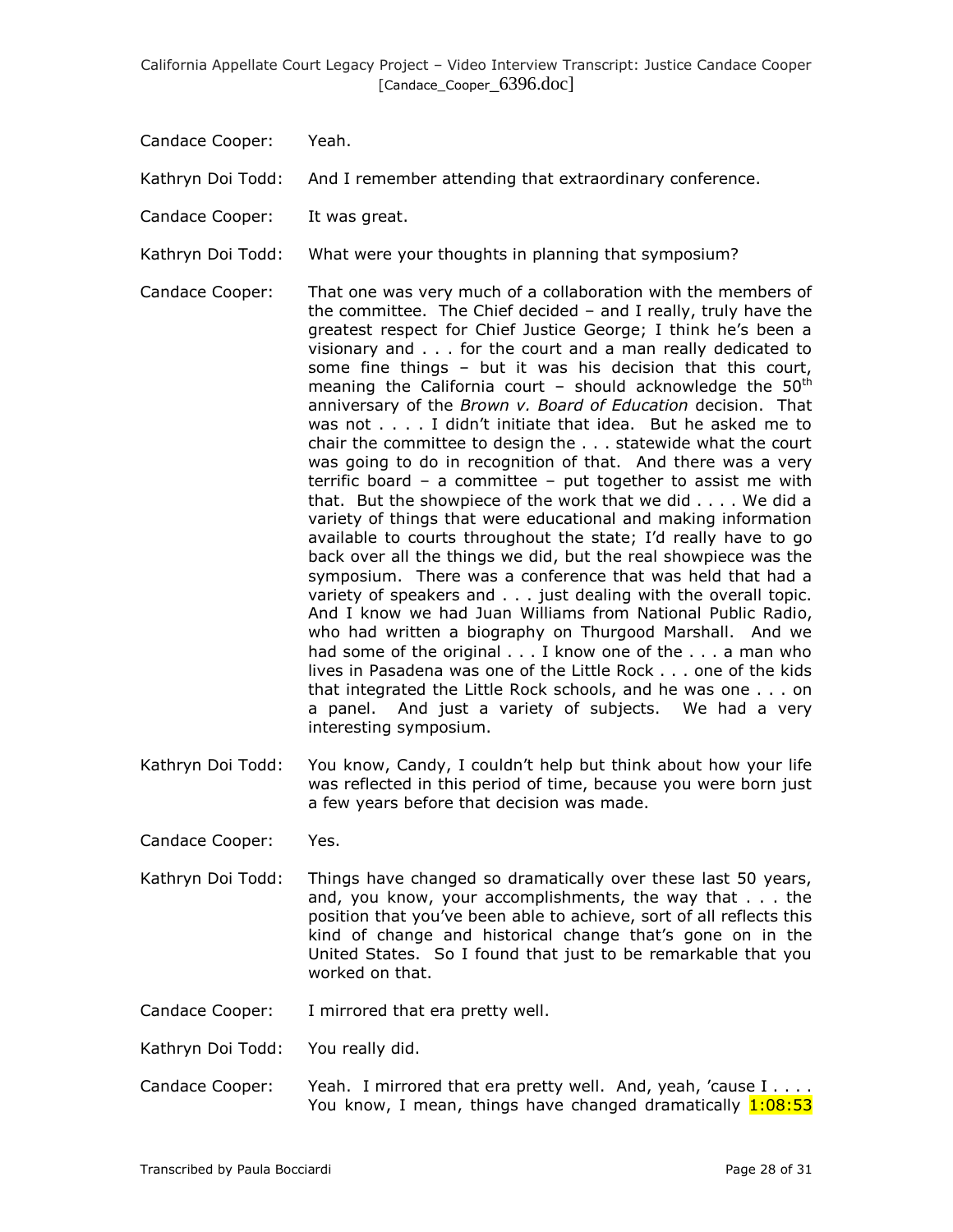Candace Cooper: Yeah.

Kathryn Doi Todd: And I remember attending that extraordinary conference.

Candace Cooper: It was great.

Kathryn Doi Todd: What were your thoughts in planning that symposium?

- Candace Cooper: That one was very much of a collaboration with the members of the committee. The Chief decided – and I really, truly have the greatest respect for Chief Justice George; I think he's been a visionary and . . . for the court and a man really dedicated to some fine things – but it was his decision that this court, meaning the California court - should acknowledge the  $50<sup>th</sup>$ anniversary of the *Brown v. Board of Education* decision. That was not . . . . I didn't initiate that idea. But he asked me to chair the committee to design the . . . statewide what the court was going to do in recognition of that. And there was a very terrific board – a committee – put together to assist me with that. But the showpiece of the work that we did . . . . We did a variety of things that were educational and making information available to courts throughout the state; I'd really have to go back over all the things we did, but the real showpiece was the symposium. There was a conference that was held that had a variety of speakers and . . . just dealing with the overall topic. And I know we had Juan Williams from National Public Radio, who had written a biography on Thurgood Marshall. And we had some of the original . . . I know one of the . . . a man who lives in Pasadena was one of the Little Rock . . . one of the kids that integrated the Little Rock schools, and he was one . . . on a panel. And just a variety of subjects. We had a very interesting symposium.
- Kathryn Doi Todd: You know, Candy, I couldn't help but think about how your life was reflected in this period of time, because you were born just a few years before that decision was made.

Candace Cooper: Yes.

Kathryn Doi Todd: Things have changed so dramatically over these last 50 years, and, you know, your accomplishments, the way that . . . the position that you've been able to achieve, sort of all reflects this kind of change and historical change that's gone on in the United States. So I found that just to be remarkable that you worked on that.

Candace Cooper: I mirrored that era pretty well.

Kathryn Doi Todd: You really did.

Candace Cooper: Yeah. I mirrored that era pretty well. And, yeah, 'cause I . . . . You know, I mean, things have changed dramatically 1:08:53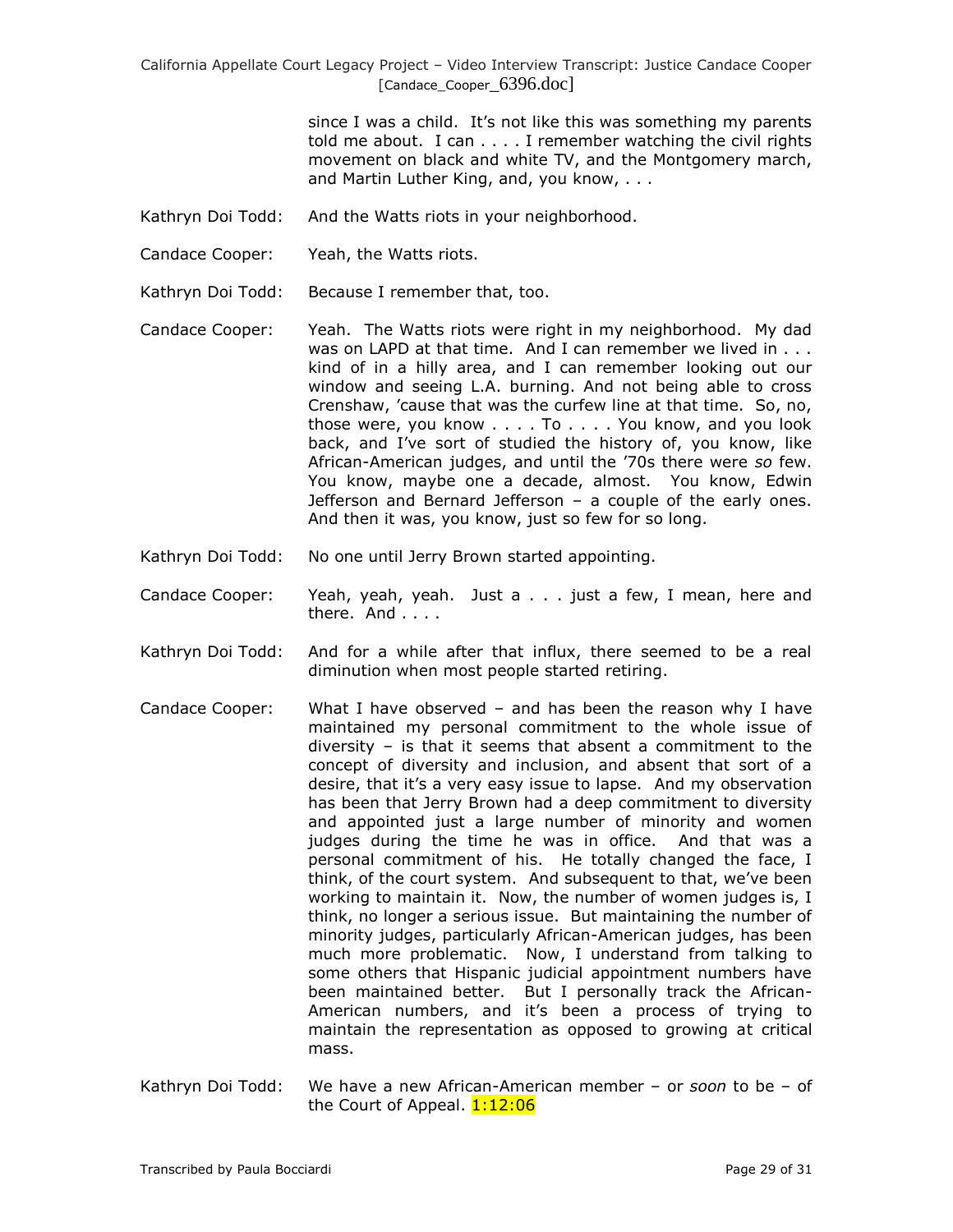> since I was a child. It's not like this was something my parents told me about. I can  $\dots$  I remember watching the civil rights movement on black and white TV, and the Montgomery march, and Martin Luther King, and, you know, . . .

- Kathryn Doi Todd: And the Watts riots in your neighborhood.
- Candace Cooper: Yeah, the Watts riots.
- Kathryn Doi Todd: Because I remember that, too.
- Candace Cooper: Yeah. The Watts riots were right in my neighborhood. My dad was on LAPD at that time. And I can remember we lived in . . . kind of in a hilly area, and I can remember looking out our window and seeing L.A. burning. And not being able to cross Crenshaw, 'cause that was the curfew line at that time. So, no, those were, you know . . . . To . . . . You know, and you look back, and I've sort of studied the history of, you know, like African-American judges, and until the '70s there were *so* few. You know, maybe one a decade, almost. You know, Edwin Jefferson and Bernard Jefferson – a couple of the early ones. And then it was, you know, just so few for so long.
- Kathryn Doi Todd: No one until Jerry Brown started appointing.
- Candace Cooper: Yeah, yeah, yeah. Just a . . . just a few, I mean, here and there. And . . . .
- Kathryn Doi Todd: And for a while after that influx, there seemed to be a real diminution when most people started retiring.
- Candace Cooper: What I have observed and has been the reason why I have maintained my personal commitment to the whole issue of diversity – is that it seems that absent a commitment to the concept of diversity and inclusion, and absent that sort of a desire, that it's a very easy issue to lapse. And my observation has been that Jerry Brown had a deep commitment to diversity and appointed just a large number of minority and women judges during the time he was in office. And that was a personal commitment of his. He totally changed the face, I think, of the court system. And subsequent to that, we've been working to maintain it. Now, the number of women judges is, I think, no longer a serious issue. But maintaining the number of minority judges, particularly African-American judges, has been much more problematic. Now, I understand from talking to some others that Hispanic judicial appointment numbers have been maintained better. But I personally track the African-American numbers, and it's been a process of trying to maintain the representation as opposed to growing at critical mass.
- Kathryn Doi Todd: We have a new African-American member or *soon* to be of the Court of Appeal. **1:12:06**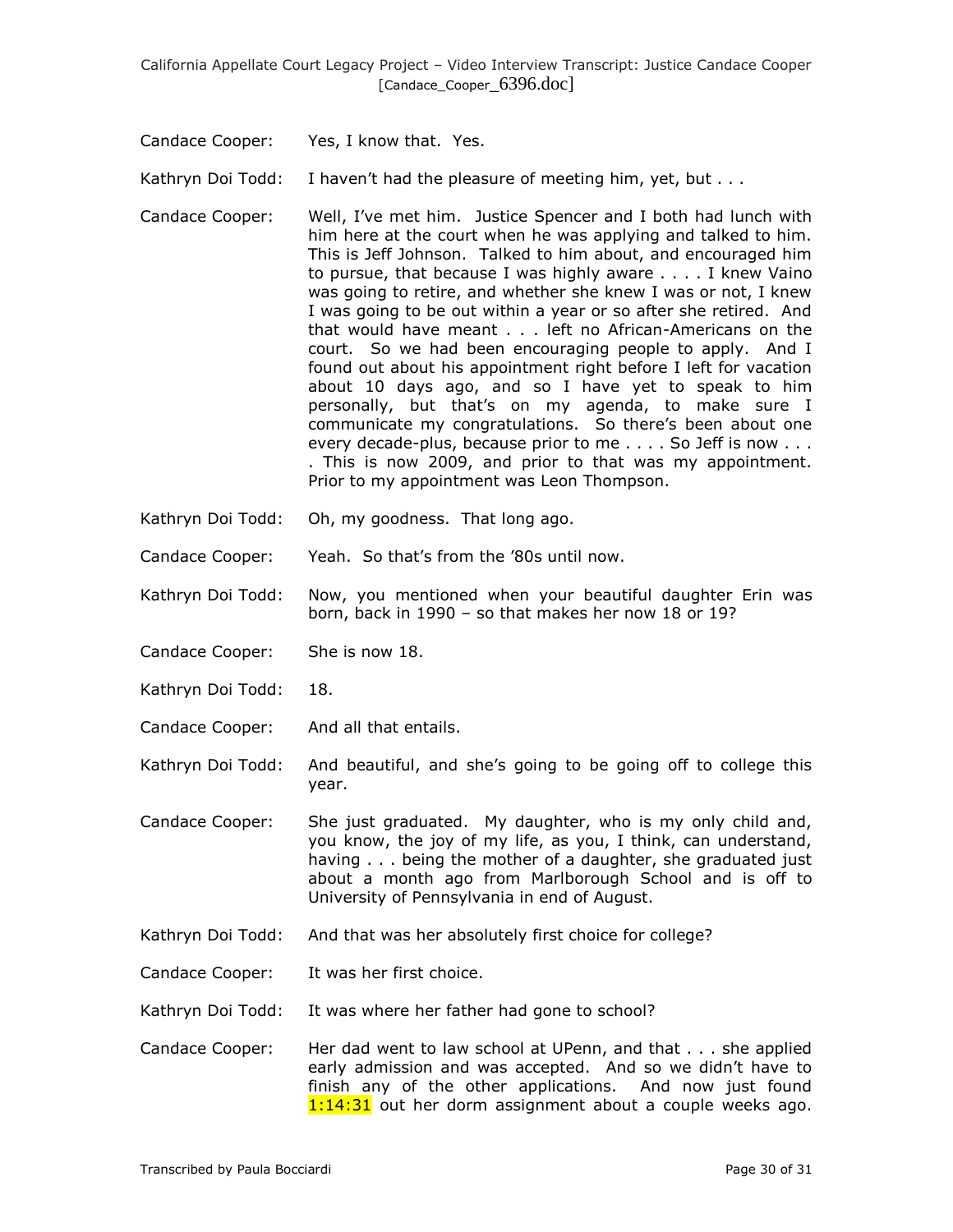Candace Cooper: Yes, I know that. Yes.

Kathryn Doi Todd: I haven't had the pleasure of meeting him, yet, but . . .

- Candace Cooper: Well, I've met him. Justice Spencer and I both had lunch with him here at the court when he was applying and talked to him. This is Jeff Johnson. Talked to him about, and encouraged him to pursue, that because I was highly aware . . . . I knew Vaino was going to retire, and whether she knew I was or not, I knew I was going to be out within a year or so after she retired. And that would have meant . . . left no African-Americans on the court. So we had been encouraging people to apply. And I found out about his appointment right before I left for vacation about 10 days ago, and so I have yet to speak to him personally, but that's on my agenda, to make sure I communicate my congratulations. So there's been about one every decade-plus, because prior to me . . . . So Jeff is now . . . . This is now 2009, and prior to that was my appointment. Prior to my appointment was Leon Thompson.
- Kathryn Doi Todd: Oh, my goodness. That long ago.
- Candace Cooper: Yeah. So that's from the '80s until now.
- Kathryn Doi Todd: Now, you mentioned when your beautiful daughter Erin was born, back in 1990 – so that makes her now 18 or 19?
- Candace Cooper: She is now 18.
- Kathryn Doi Todd: 18.
- Candace Cooper: And all that entails.
- Kathryn Doi Todd: And beautiful, and she's going to be going off to college this year.
- Candace Cooper: She just graduated. My daughter, who is my only child and, you know, the joy of my life, as you, I think, can understand, having . . . being the mother of a daughter, she graduated just about a month ago from Marlborough School and is off to University of Pennsylvania in end of August.
- Kathryn Doi Todd: And that was her absolutely first choice for college?
- Candace Cooper: It was her first choice.

Kathryn Doi Todd: It was where her father had gone to school?

Candace Cooper: Her dad went to law school at UPenn, and that . . . she applied early admission and was accepted. And so we didn't have to finish any of the other applications. And now just found 1:14:31 out her dorm assignment about a couple weeks ago.